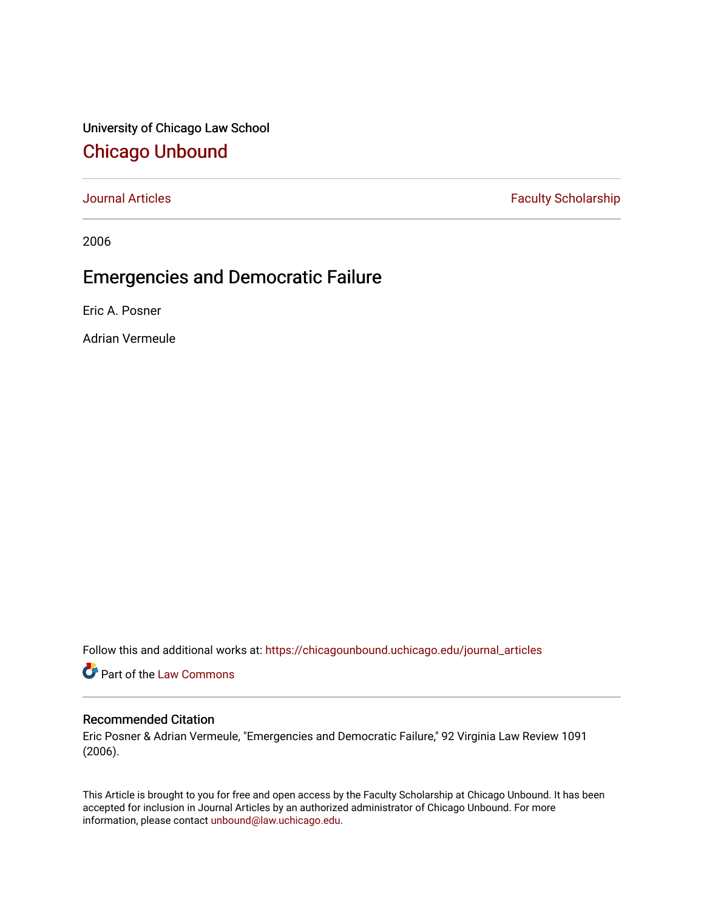University of Chicago Law School [Chicago Unbound](https://chicagounbound.uchicago.edu/)

[Journal Articles](https://chicagounbound.uchicago.edu/journal_articles) **Faculty Scholarship Faculty Scholarship** 

2006

# Emergencies and Democratic Failure

Eric A. Posner

Adrian Vermeule

Follow this and additional works at: [https://chicagounbound.uchicago.edu/journal\\_articles](https://chicagounbound.uchicago.edu/journal_articles?utm_source=chicagounbound.uchicago.edu%2Fjournal_articles%2F1750&utm_medium=PDF&utm_campaign=PDFCoverPages) 

Part of the [Law Commons](http://network.bepress.com/hgg/discipline/578?utm_source=chicagounbound.uchicago.edu%2Fjournal_articles%2F1750&utm_medium=PDF&utm_campaign=PDFCoverPages)

### Recommended Citation

Eric Posner & Adrian Vermeule, "Emergencies and Democratic Failure," 92 Virginia Law Review 1091 (2006).

This Article is brought to you for free and open access by the Faculty Scholarship at Chicago Unbound. It has been accepted for inclusion in Journal Articles by an authorized administrator of Chicago Unbound. For more information, please contact [unbound@law.uchicago.edu](mailto:unbound@law.uchicago.edu).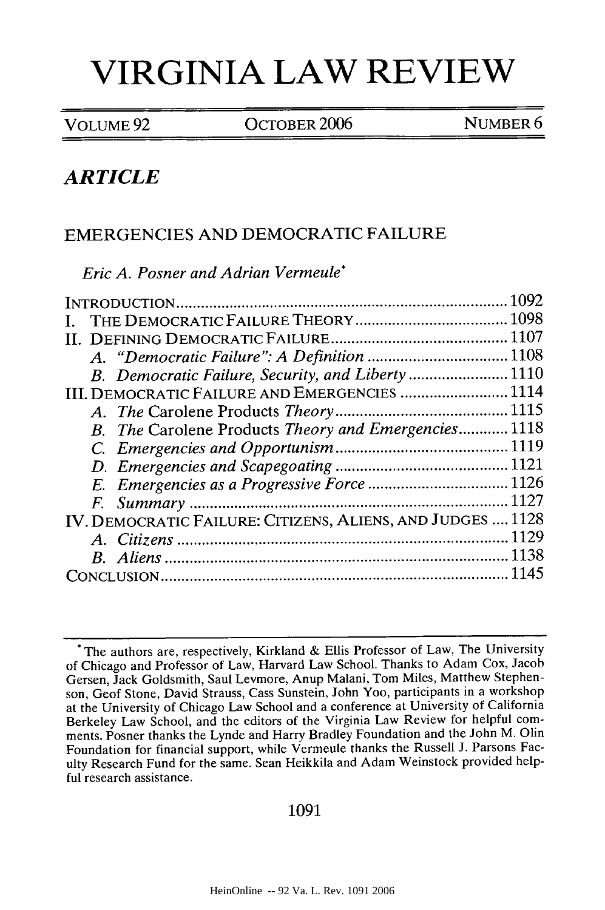# **VIRGINIA LAW REVIEW**

VOLUME 92 **OCTOBER 2006** NUMBER 6

# *ARTICLE*

# EMERGENCIES AND DEMOCRATIC FAILURE

*Eric A. Posner and Adrian Vermeule\**

| B. Democratic Failure, Security, and Liberty  1110         |  |  |
|------------------------------------------------------------|--|--|
| III. DEMOCRATIC FAILURE AND EMERGENCIES  1114              |  |  |
|                                                            |  |  |
| B. The Carolene Products Theory and Emergencies 1118       |  |  |
|                                                            |  |  |
|                                                            |  |  |
|                                                            |  |  |
|                                                            |  |  |
| IV. DEMOCRATIC FAILURE: CITIZENS, ALIENS, AND JUDGES  1128 |  |  |
|                                                            |  |  |
|                                                            |  |  |
|                                                            |  |  |

# 1091

**<sup>.</sup>** The authors are, respectively, Kirkland & Ellis Professor of Law, The University of Chicago and Professor of Law, Harvard Law School. Thanks to Adam Cox, Jacob Gersen, Jack Goldsmith, Saul Levmore, Anup Malani, Tom Miles, Matthew Stephenson, Geof Stone, David Strauss, Cass Sunstein, John Yoo, participants in a workshop at the University of Chicago Law School and a conference at University of California Berkeley Law School, and the editors of the Virginia Law Review for helpful comments. Posner thanks the Lynde and Harry Bradley Foundation and the John M. Olin Foundation for financial support, while Vermeule thanks the Russell J. Parsons Faculty Research Fund for the same. Sean Heikkila and Adam Weinstock provided helpful research assistance.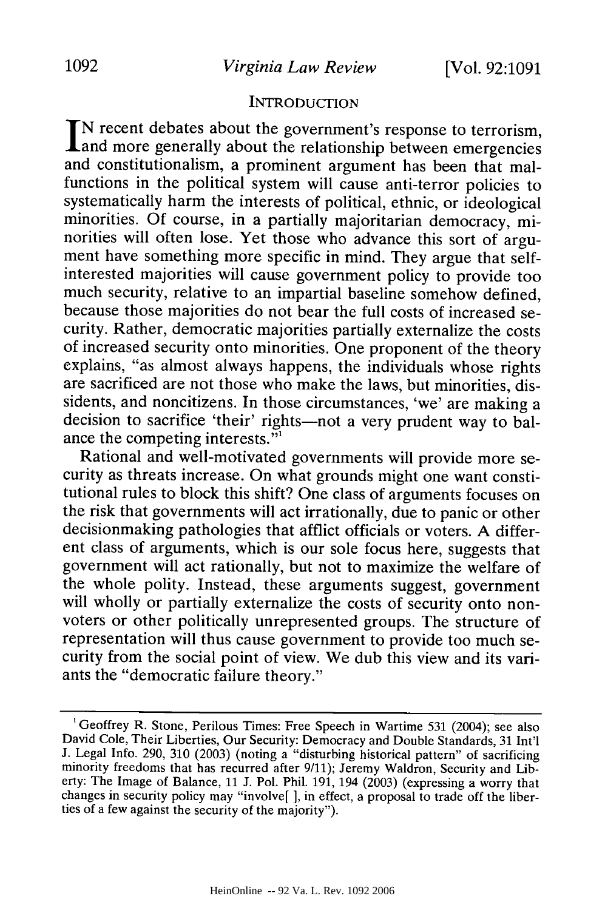#### **INTRODUCTION**

N recent debates about the government's response to terrorism, and more generally about the relationship between emergencies and constitutionalism, a prominent argument has been that malfunctions in the political system will cause anti-terror policies to systematically harm the interests of political, ethnic, or ideological minorities. Of course, in a partially majoritarian democracy, minorities will often lose. Yet those who advance this sort of argument have something more specific in mind. They argue that selfinterested majorities will cause government policy to provide too much security, relative to an impartial baseline somehow defined, because those majorities do not bear the full costs of increased security. Rather, democratic majorities partially externalize the costs of increased security onto minorities. One proponent of the theory explains, "as almost always happens, the individuals whose rights are sacrificed are not those who make the laws, but minorities, dissidents, and noncitizens. In those circumstances, 'we' are making a decision to sacrifice 'their' rights-not a very prudent way to balance the competing interests."<sup>1</sup>

Rational and well-motivated governments will provide more security as threats increase. On what grounds might one want constitutional rules to block this shift? One class of arguments focuses on the risk that governments will act irrationally, due to panic or other decisionmaking pathologies that afflict officials or voters. A different class of arguments, which is our sole focus here, suggests that government will act rationally, but not to maximize the welfare of the whole polity. Instead, these arguments suggest, government will wholly or partially externalize the costs of security onto nonvoters or other politically unrepresented groups. The structure of representation will thus cause government to provide too much security from the social point of view. We dub this view and its variants the "democratic failure theory."

<sup>&#</sup>x27;Geoffrey R. Stone, Perilous Times: Free Speech in Wartime 531 (2004); see also David Cole, Their Liberties, Our Security: Democracy and Double Standards, 31 Int'l J. Legal Info. 290, 310 (2003) (noting a "disturbing historical pattern" of sacrificing minority freedoms that has recurred after 9/11); Jeremy Waldron, Security and Liberty: The Image of Balance, 11 **J.** Pol. Phil. **191,** 194 (2003) (expressing a worry that changes in security policy may "involve[ ], in effect, a proposal to trade off the liberties of a few against the security of the majority").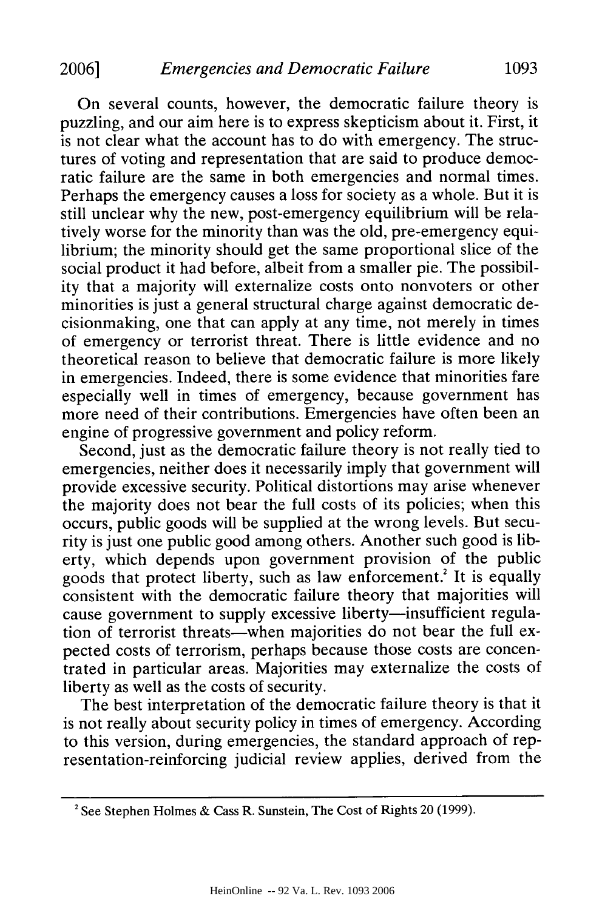On several counts, however, the democratic failure theory is puzzling, and our aim here is to express skepticism about it. First, it is not clear what the account has to do with emergency. The structures of voting and representation that are said to produce democratic failure are the same in both emergencies and normal times. Perhaps the emergency causes a loss for society as a whole. But it is still unclear why the new, post-emergency equilibrium will be relatively worse for the minority than was the old, pre-emergency equilibrium; the minority should get the same proportional slice of the social product it had before, albeit from a smaller pie. The possibility that a majority will externalize costs onto nonvoters or other minorities is just a general structural charge against democratic decisionmaking, one that can apply at any time, not merely in times of emergency or terrorist threat. There is little evidence and no theoretical reason to believe that democratic failure is more likely in emergencies. Indeed, there is some evidence that minorities fare especially well in times of emergency, because government has more need of their contributions. Emergencies have often been an engine of progressive government and policy reform.

Second, just as the democratic failure theory is not really tied to emergencies, neither does it necessarily imply that government will provide excessive security. Political distortions may arise whenever the majority does not bear the full costs of its policies; when this occurs, public goods will be supplied at the wrong levels. But security is just one public good among others. Another such good is liberty, which depends upon government provision of the public goods that protect liberty, such as law enforcement.<sup>2</sup> It is equally consistent with the democratic failure theory that majorities will cause government to supply excessive liberty-insufficient regulation of terrorist threats—when majorities do not bear the full expected costs of terrorism, perhaps because those costs are concentrated in particular areas. Majorities may externalize the costs of liberty as well as the costs of security.

The best interpretation of the democratic failure theory is that it is not really about security policy in times of emergency. According to this version, during emergencies, the standard approach of representation-reinforcing judicial review applies, derived from the

<sup>&</sup>lt;sup>2</sup> See Stephen Holmes & Cass R. Sunstein, The Cost of Rights 20 (1999).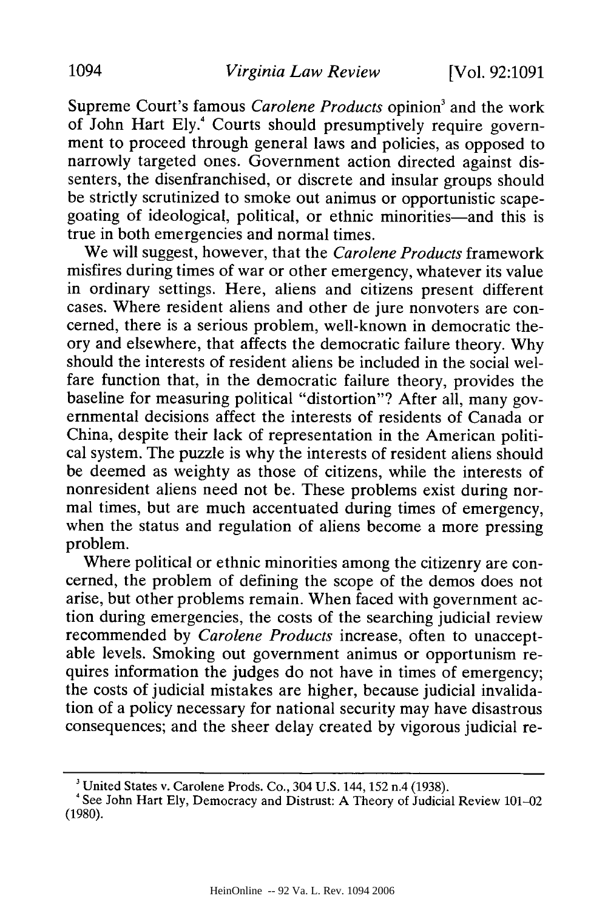Supreme Court's famous *Carolene Products* opinion<sup>3</sup> and the work of John Hart Ely.<sup>4</sup> Courts should presumptively require government to proceed through general laws and policies, as opposed to narrowly targeted ones. Government action directed against dissenters, the disenfranchised, or discrete and insular groups should be strictly scrutinized to smoke out animus or opportunistic scapegoating of ideological, political, or ethnic minorities—and this is true in both emergencies and normal times.

We will suggest, however, that the *Carolene Products* framework misfires during times of war or other emergency, whatever its value in ordinary settings. Here, aliens and citizens present different cases. Where resident aliens and other de jure nonvoters are concerned, there is a serious problem, well-known in democratic theory and elsewhere, that affects the democratic failure theory. Why should the interests of resident aliens be included in the social welfare function that, in the democratic failure theory, provides the baseline for measuring political "distortion"? After all, many governmental decisions affect the interests of residents of Canada or China, despite their lack of representation in the American political system. The puzzle is why the interests of resident aliens should be deemed as weighty as those of citizens, while the interests of nonresident aliens need not be. These problems exist during normal times, but are much accentuated during times of emergency, when the status and regulation of aliens become a more pressing problem.

Where political or ethnic minorities among the citizenry are concerned, the problem of defining the scope of the demos does not arise, but other problems remain. When faced with government action during emergencies, the costs of the searching judicial review recommended by *Carolene Products* increase, often to unacceptable levels. Smoking out government animus or opportunism requires information the judges do not have in times of emergency; the costs of judicial mistakes are higher, because judicial invalidation of a policy necessary for national security may have disastrous consequences; and the sheer delay created by vigorous judicial re-

<sup>&</sup>lt;sup>3</sup> United States v. Carolene Prods. Co., 304 U.S. 144, 152 n.4 (1938).

<sup>&#</sup>x27;See John Hart Ely, Democracy and Distrust: A Theory of Judicial Review 101-02 (1980).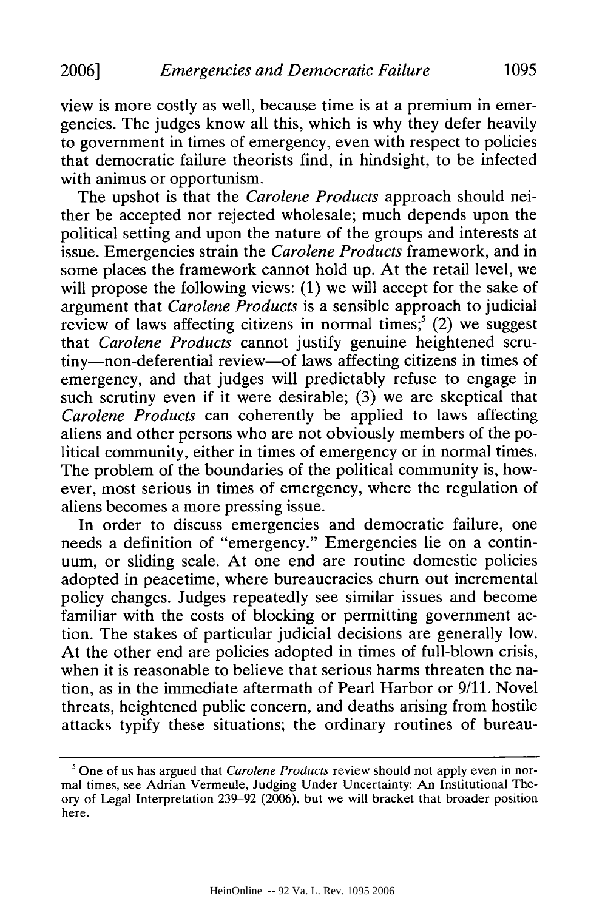view is more costly as well, because time is at a premium in emergencies. The judges know all this, which is why they defer heavily to government in times of emergency, even with respect to policies that democratic failure theorists find, in hindsight, to be infected with animus or opportunism.

The upshot is that the *Carolene Products* approach should neither be accepted nor rejected wholesale; much depends upon the political setting and upon the nature of the groups and interests at issue. Emergencies strain the *Carolene Products* framework, and in some places the framework cannot hold up. At the retail level, we will propose the following views: (1) we will accept for the sake of argument that *Carolene Products* is a sensible approach to judicial review of laws affecting citizens in normal times;<sup>5</sup> (2) we suggest that *Carolene Products* cannot justify genuine heightened scrutiny-non-deferential review-of laws affecting citizens in times of emergency, and that judges will predictably refuse to engage in such scrutiny even if it were desirable; (3) we are skeptical that *Carolene Products* can coherently be applied to laws affecting aliens and other persons who are not obviously members of the political community, either in times of emergency or in normal times. The problem of the boundaries of the political community is, however, most serious in times of emergency, where the regulation of aliens becomes a more pressing issue.

In order to discuss emergencies and democratic failure, one needs a definition of "emergency." Emergencies lie on a continuum, or sliding scale. At one end are routine domestic policies adopted in peacetime, where bureaucracies churn out incremental policy changes. Judges repeatedly see similar issues and become familiar with the costs of blocking or permitting government action. The stakes of particular judicial decisions are generally low. At the other end are policies adopted in times of full-blown crisis, when it is reasonable to believe that serious harms threaten the nation, as in the immediate aftermath of Pearl Harbor or 9/11. Novel threats, heightened public concern, and deaths arising from hostile attacks typify these situations; the ordinary routines of bureau-

<sup>&#</sup>x27;One of us has argued that *Carolene Products* review should not apply even in normal times, see Adrian Vermeule, Judging Under Uncertainty: An Institutional Theory of Legal Interpretation 239-92 (2006), but we will bracket that broader position here.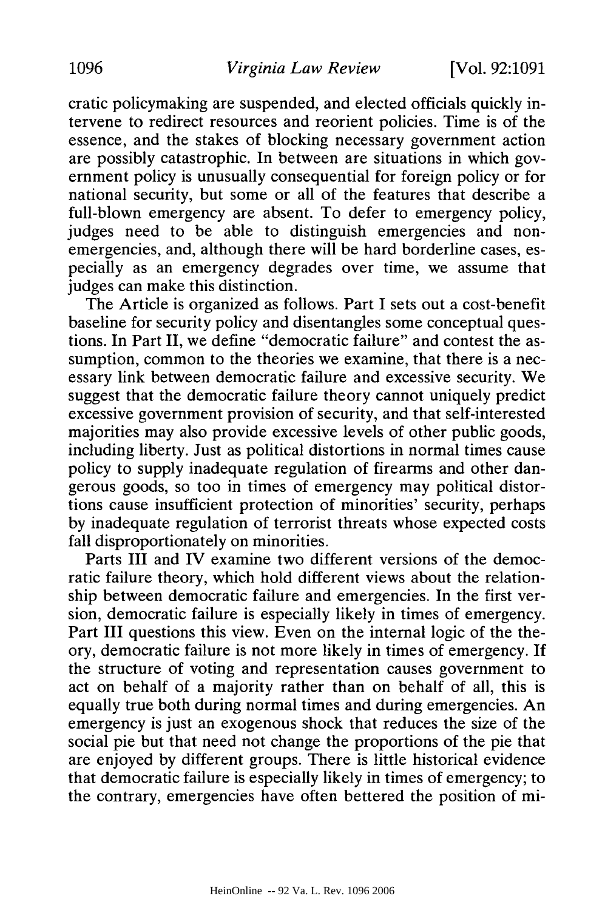cratic policymaking are suspended, and elected officials quickly intervene to redirect resources and reorient policies. Time is of the essence, and the stakes of blocking necessary government action are possibly catastrophic. In between are situations in which government policy is unusually consequential for foreign policy or for national security, but some or all of the features that describe a full-blown emergency are absent. To defer to emergency policy, judges need to be able to distinguish emergencies and nonemergencies, and, although there will be hard borderline cases, especially as an emergency degrades over time, we assume that judges can make this distinction.

The Article is organized as follows. Part I sets out a cost-benefit baseline for security policy and disentangles some conceptual questions. In Part II, we define "democratic failure" and contest the assumption, common to the theories we examine, that there is a necessary link between democratic failure and excessive security. We suggest that the democratic failure theory cannot uniquely predict excessive government provision of security, and that self-interested majorities may also provide excessive levels of other public goods, including liberty. Just as political distortions in normal times cause policy to supply inadequate regulation of firearms and other dangerous goods, so too in times of emergency may political distortions cause insufficient protection of minorities' security, perhaps by inadequate regulation of terrorist threats whose expected costs fall disproportionately on minorities.

Parts III and IV examine two different versions of the democratic failure theory, which hold different views about the relationship between democratic failure and emergencies. In the first version, democratic failure is especially likely in times of emergency. Part III questions this view. Even on the internal logic of the theory, democratic failure is not more likely in times of emergency. If the structure of voting and representation causes government to act on behalf of a majority rather than on behalf of all, this is equally true both during normal times and during emergencies. An emergency is just an exogenous shock that reduces the size of the social pie but that need not change the proportions of the pie that are enjoyed by different groups. There is little historical evidence that democratic failure is especially likely in times of emergency; to the contrary, emergencies have often bettered the position of mi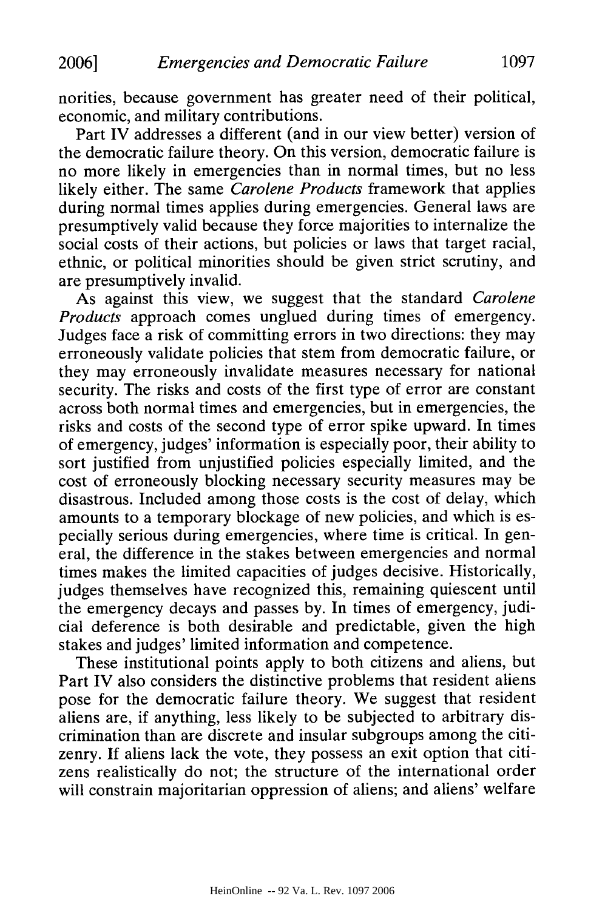norities, because government has greater need of their political, economic, and military contributions.

Part IV addresses a different (and in our view better) version of the democratic failure theory. On this version, democratic failure is no more likely in emergencies than in normal times, but no less likely either. The same *Carolene Products* framework that applies during normal times applies during emergencies. General laws are presumptively valid because they force majorities to internalize the social costs of their actions, but policies or laws that target racial, ethnic, or political minorities should be given strict scrutiny, and are presumptively invalid.

As against this view, we suggest that the standard *Carolene Products* approach comes unglued during times of emergency. Judges face a risk of committing errors in two directions: they may erroneously validate policies that stem from democratic failure, or they may erroneously invalidate measures necessary for national security. The risks and costs of the first type of error are constant across both normal times and emergencies, but in emergencies, the risks and costs of the second type of error spike upward. In times of emergency, judges' information is especially poor, their ability to sort justified from unjustified policies especially limited, and the cost of erroneously blocking necessary security measures may be disastrous. Included among those costs is the cost of delay, which amounts to a temporary blockage of new policies, and which is especially serious during emergencies, where time is critical. In general, the difference in the stakes between emergencies and normal times makes the limited capacities of judges decisive. Historically, judges themselves have recognized this, remaining quiescent until the emergency decays and passes by. In times of emergency, judicial deference is both desirable and predictable, given the high stakes and judges' limited information and competence.

These institutional points apply to both citizens and aliens, but Part IV also considers the distinctive problems that resident aliens pose for the democratic failure theory. We suggest that resident aliens are, if anything, less likely to be subjected to arbitrary discrimination than are discrete and insular subgroups among the citizenry. If aliens lack the vote, they possess an exit option that citizens realistically do not; the structure of the international order will constrain majoritarian oppression of aliens; and aliens' welfare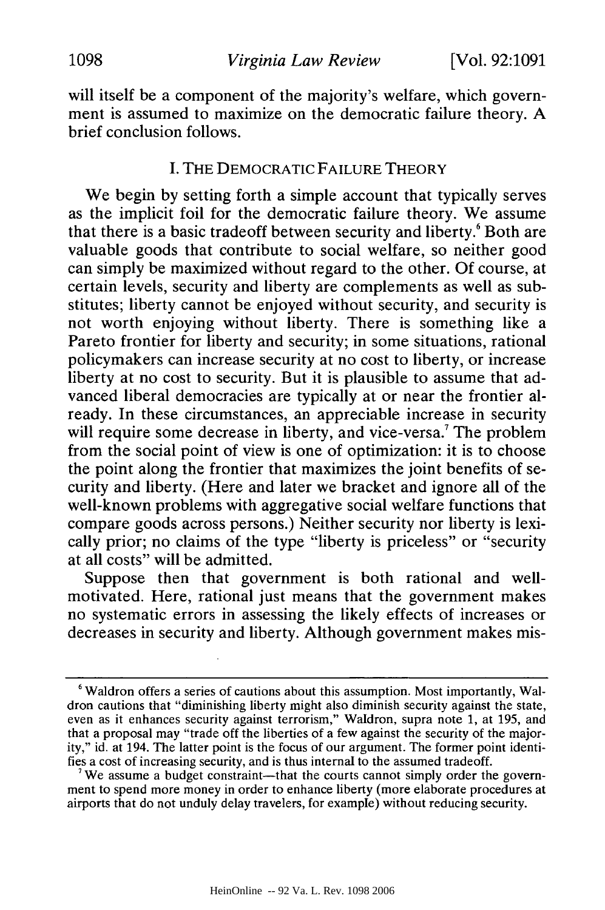will itself be a component of the majority's welfare, which government is assumed to maximize on the democratic failure theory. A brief conclusion follows.

## I. THE DEMOCRATIC FAILURE THEORY

We begin by setting forth a simple account that typically serves as the implicit foil for the democratic failure theory. We assume that there is a basic tradeoff between security and liberty.<sup>6</sup> Both are valuable goods that contribute to social welfare, so neither good can simply be maximized without regard to the other. Of course, at certain levels, security and liberty are complements as well as substitutes; liberty cannot be enjoyed without security, and security is not worth enjoying without liberty. There is something like a Pareto frontier for liberty and security; in some situations, rational policymakers can increase security at no cost to liberty, or increase liberty at no cost to security. But it is plausible to assume that advanced liberal democracies are typically at or near the frontier already. In these circumstances, an appreciable increase in security will require some decrease in liberty, and vice-versa.<sup>7</sup> The problem from the social point of view is one of optimization: it is to choose the point along the frontier that maximizes the joint benefits of security and liberty. (Here and later we bracket and ignore all of the well-known problems with aggregative social welfare functions that compare goods across persons.) Neither security nor liberty is lexically prior; no claims of the type "liberty is priceless" or "security at all costs" will be admitted.

Suppose then that government is both rational and wellmotivated. Here, rational just means that the government makes no systematic errors in assessing the likely effects of increases or decreases in security and liberty. Although government makes mis-

<sup>&</sup>lt;sup>6</sup> Waldron offers a series of cautions about this assumption. Most importantly, Waldron cautions that "diminishing liberty might also diminish security against the state, even as it enhances security against terrorism," Waldron, supra note 1, at 195, and that a proposal may "trade off the liberties of a few against the security of the majority," id. at 194. The latter point is the focus of our argument. The former point identifies a cost of increasing security, and is thus internal to the assumed tradeoff.

We assume a budget constraint—that the courts cannot simply order the government to spend more money in order to enhance liberty (more elaborate procedures at airports that do not unduly delay travelers, for example) without reducing security.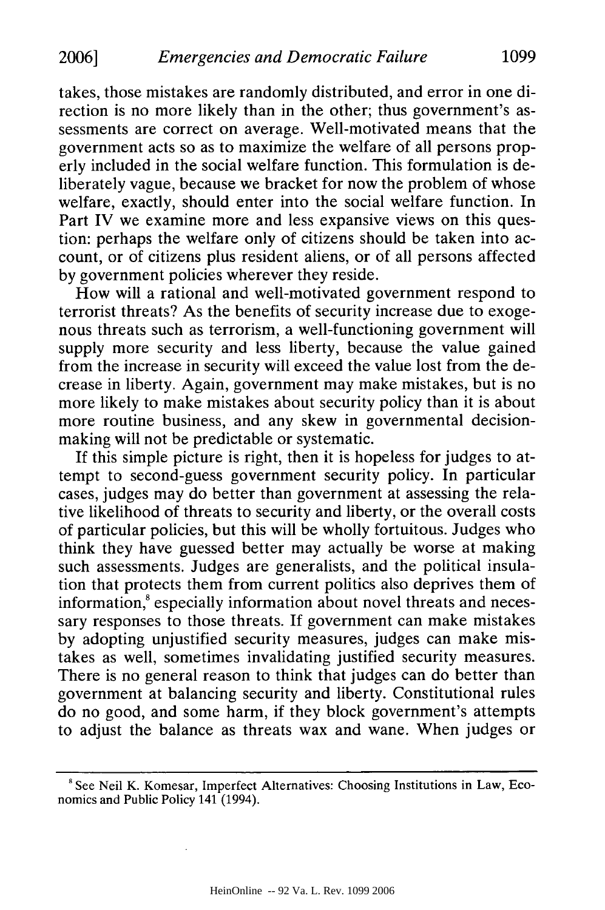takes, those mistakes are randomly distributed, and error in one direction is no more likely than in the other; thus government's assessments are correct on average. Well-motivated means that the government acts so as to maximize the welfare of all persons properly included in the social welfare function. This formulation is deliberately vague, because we bracket for now the problem of whose welfare, exactly, should enter into the social welfare function. In Part IV we examine more and less expansive views on this question: perhaps the welfare only of citizens should be taken into account, or of citizens plus resident aliens, or of all persons affected by government policies wherever they reside.

How will a rational and well-motivated government respond to terrorist threats? As the benefits of security increase due to exogenous threats such as terrorism, a well-functioning government will supply more security and less liberty, because the value gained from the increase in security will exceed the value lost from the decrease in liberty. Again, government may make mistakes, but is no more likely to make mistakes about security policy than it is about more routine business, and any skew in governmental decisionmaking will not be predictable or systematic.

If this simple picture is right, then it is hopeless for judges to attempt to second-guess government security policy. In particular cases, judges may do better than government at assessing the relative likelihood of threats to security and liberty, or the overall costs of particular policies, but this will be wholly fortuitous. Judges who think they have guessed better may actually be worse at making such assessments. Judges are generalists, and the political insulation that protects them from current politics also deprives them of information,' especially information about novel threats and necessary responses to those threats. If government can make mistakes by adopting unjustified security measures, judges can make mistakes as well, sometimes invalidating justified security measures. There is no general reason to think that judges can do better than government at balancing security and liberty. Constitutional rules do no good, and some harm, if they block government's attempts to adjust the balance as threats wax and wane. When judges or

<sup>&</sup>lt;sup>8</sup> See Neil K. Komesar, Imperfect Alternatives: Choosing Institutions in Law, Economics and Public Policy 141 (1994).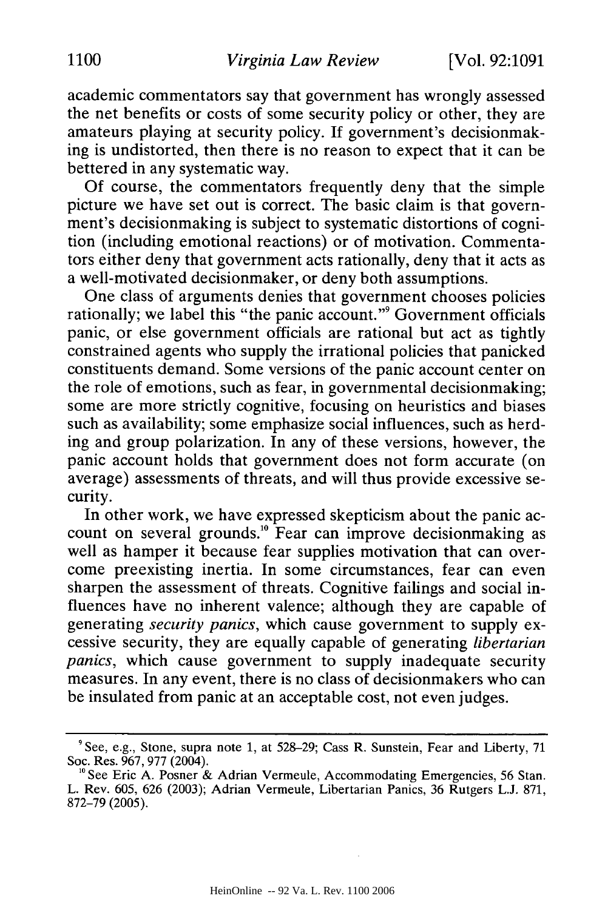academic commentators say that government has wrongly assessed the net benefits or costs of some security policy or other, they are amateurs playing at security policy. If government's decisionmaking is undistorted, then there is no reason to expect that it can be bettered in any systematic way.

Of course, the commentators frequently deny that the simple picture we have set out is correct. The basic claim is that government's decisionmaking is subject to systematic distortions of cognition (including emotional reactions) or of motivation. Commentators either deny that government acts rationally, deny that it acts as a well-motivated decisionmaker, or deny both assumptions.

One class of arguments denies that government chooses policies rationally; we label this "the panic account." Government officials panic, or else government officials are rational but act as tightly constrained agents who supply the irrational policies that panicked constituents demand. Some versions of the panic account center on the role of emotions, such as fear, in governmental decisionmaking; some are more strictly cognitive, focusing on heuristics and biases such as availability; some emphasize social influences, such as herding and group polarization. In any of these versions, however, the panic account holds that government does not form accurate (on average) assessments of threats, and will thus provide excessive security.

In other work, we have expressed skepticism about the panic account on several grounds." Fear can improve decisionmaking as well as hamper it because fear supplies motivation that can overcome preexisting inertia. In some circumstances, fear can even sharpen the assessment of threats. Cognitive failings and social influences have no inherent valence; although they are capable of generating *security panics,* which cause government to supply excessive security, they are equally capable of generating *libertarian panics,* which cause government to supply inadequate security measures. In any event, there is no class of decisionmakers who can be insulated from panic at an acceptable cost, not even judges.

<sup>&</sup>lt;sup>9</sup> See, e.g., Stone, supra note 1, at 528–29; Cass R. Sunstein, Fear and Liberty, 71 Soc. Res. 967, 977 (2004).<br><sup>10</sup> See Eric A. Posner & Adrian Vermeule, Accommodating Emergencies, 56 Stan.

L. Rev. 605, 626 (2003); Adrian Vermeule, Libertarian Panics, 36 Rutgers L.J. 871, 872-79 (2005).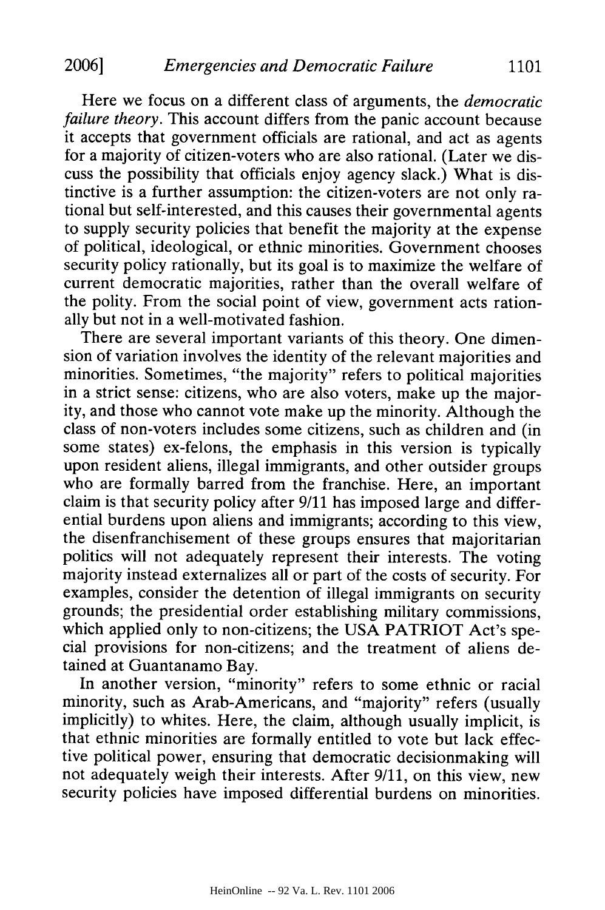Here we focus on a different class of arguments, the *democratic failure theory.* This account differs from the panic account because it accepts that government officials are rational, and act as agents for a majority of citizen-voters who are also rational. (Later we discuss the possibility that officials enjoy agency slack.) What is distinctive is a further assumption: the citizen-voters are not only rational but self-interested, and this causes their governmental agents to supply security policies that benefit the majority at the expense of political, ideological, or ethnic minorities. Government chooses security policy rationally, but its goal is to maximize the welfare of current democratic majorities, rather than the overall welfare of the polity. From the social point of view, government acts rationally but not in a well-motivated fashion.

There are several important variants of this theory. One dimension of variation involves the identity of the relevant majorities and minorities. Sometimes, "the majority" refers to political majorities in a strict sense: citizens, who are also voters, make up the majority, and those who cannot vote make up the minority. Although the class of non-voters includes some citizens, such as children and (in some states) ex-felons, the emphasis in this version is typically upon resident aliens, illegal immigrants, and other outsider groups who are formally barred from the franchise. Here, an important claim is that security policy after 9/11 has imposed large and differential burdens upon aliens and immigrants; according to this view, the disenfranchisement of these groups ensures that majoritarian politics will not adequately represent their interests. The voting majority instead externalizes all or part of the costs of security. For examples, consider the detention of illegal immigrants on security grounds; the presidential order establishing military commissions, which applied only to non-citizens; the USA PATRIOT Act's special provisions for non-citizens; and the treatment of aliens detained at Guantanamo Bay.

In another version, "minority" refers to some ethnic or racial minority, such as Arab-Americans, and "majority" refers (usually implicitly) to whites. Here, the claim, although usually implicit, is that ethnic minorities are formally entitled to vote but lack effective political power, ensuring that democratic decisionmaking will not adequately weigh their interests. After 9/11, on this view, new security policies have imposed differential burdens on minorities.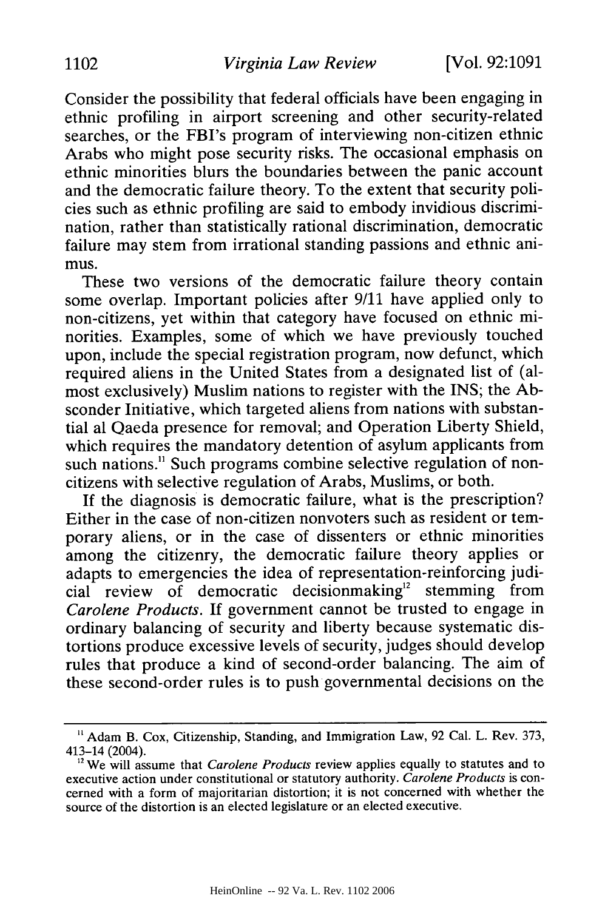Consider the possibility that federal officials have been engaging in ethnic profiling in airport screening and other security-related searches, or the FBI's program of interviewing non-citizen ethnic Arabs who might pose security risks. The occasional emphasis on ethnic minorities blurs the boundaries between the panic account and the democratic failure theory. To the extent that security policies such as ethnic profiling are said to embody invidious discrimination, rather than statistically rational discrimination, democratic failure may stem from irrational standing passions and ethnic animus.

These two versions of the democratic failure theory contain some overlap. Important policies after 9/11 have applied only to non-citizens, yet within that category have focused on ethnic minorities. Examples, some of which we have previously touched upon, include the special registration program, now defunct, which required aliens in the United States from a designated list of (almost exclusively) Muslim nations to register with the INS; the Absconder Initiative, which targeted aliens from nations with substantial al Qaeda presence for removal; and Operation Liberty Shield, which requires the mandatory detention of asylum applicants from such nations.<sup>11</sup> Such programs combine selective regulation of noncitizens with selective regulation of Arabs, Muslims, or both.

If the diagnosis is democratic failure, what is the prescription? Either in the case of non-citizen nonvoters such as resident or temporary aliens, or in the case of dissenters or ethnic minorities among the citizenry, the democratic failure theory applies or adapts to emergencies the idea of representation-reinforcing judicial review of democratic decisionmaking"2 stemming from *Carolene Products.* If government cannot be trusted to engage in ordinary balancing of security and liberty because systematic distortions produce excessive levels of security, judges should develop rules that produce a kind of second-order balancing. The aim of these second-order rules is to push governmental decisions on the

<sup>&</sup>lt;sup>11</sup> Adam B. Cox, Citizenship, Standing, and Immigration Law, 92 Cal. L. Rev. 373, 413-14 (2004). 2 We will assume that *Carolene Products* review applies equally to statutes and to

executive action under constitutional or statutory authority. *Carolene Products* is concerned with a form of majoritarian distortion; it is not concerned with whether the source of the distortion is an elected legislature or an elected executive.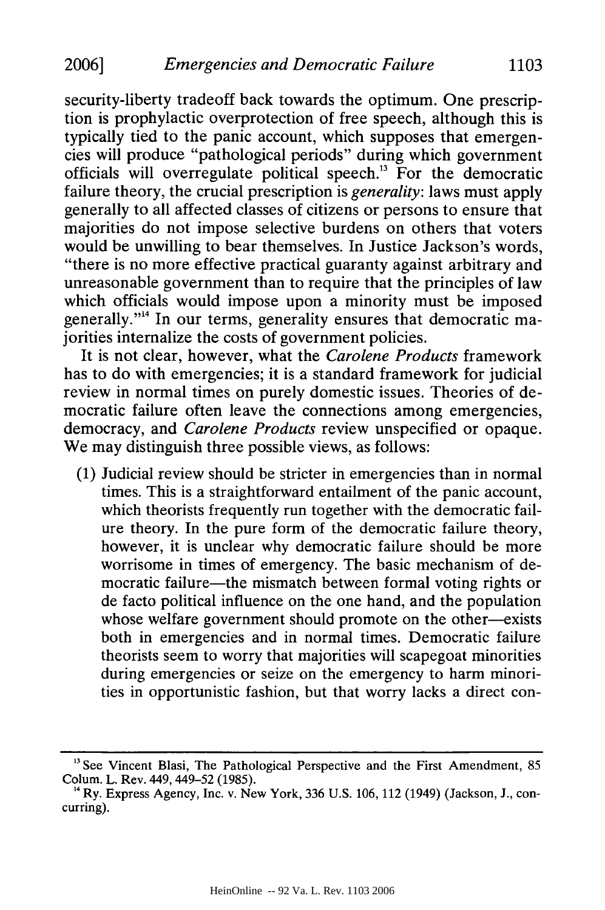security-liberty tradeoff back towards the optimum. One prescription is prophylactic overprotection of free speech, although this is typically tied to the panic account, which supposes that emergencies will produce "pathological periods" during which government officials will overregulate political speech.3 For the democratic failure theory, the crucial prescription is *generality:* laws must apply generally to all affected classes of citizens or persons to ensure that majorities do not impose selective burdens on others that voters would be unwilling to bear themselves. In Justice Jackson's words, "there is no more effective practical guaranty against arbitrary and unreasonable government than to require that the principles of law which officials would impose upon a minority must be imposed generally."<sup>14</sup> In our terms, generality ensures that democratic majorities internalize the costs of government policies.

It is not clear, however, what the *Carolene Products* framework has to do with emergencies; it is a standard framework for judicial review in normal times on purely domestic issues. Theories of democratic failure often leave the connections among emergencies, democracy, and *Carolene Products* review unspecified or opaque. We may distinguish three possible views, as follows:

(1) Judicial review should be stricter in emergencies than in normal times. This is a straightforward entailment of the panic account, which theorists frequently run together with the democratic failure theory. In the pure form of the democratic failure theory, however, it is unclear why democratic failure should be more worrisome in times of emergency. The basic mechanism of democratic failure-the mismatch between formal voting rights or de facto political influence on the one hand, and the population whose welfare government should promote on the other-exists both in emergencies and in normal times. Democratic failure theorists seem to worry that majorities will scapegoat minorities during emergencies or seize on the emergency to harm minorities in opportunistic fashion, but that worry lacks a direct con-

<sup>&</sup>lt;sup>13</sup> See Vincent Blasi, The Pathological Perspective and the First Amendment, 85 Colum. L. Rev. 449,449-52 (1985).

<sup>1</sup> <sup>4</sup> Ry. Express Agency, Inc. v. New York, 336 U.S. 106, 112 (1949) (Jackson, J., concurring).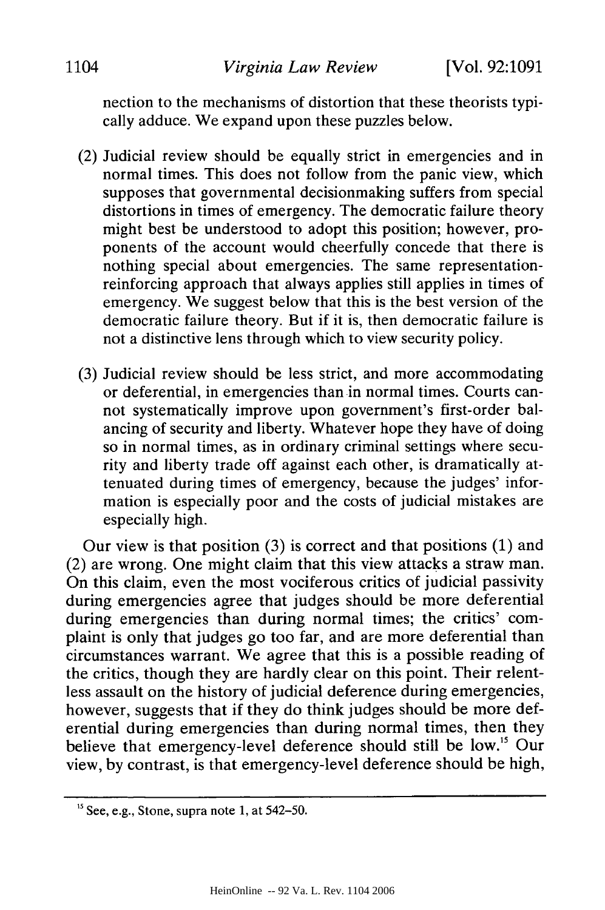nection to the mechanisms of distortion that these theorists typically adduce. We expand upon these puzzles below.

- (2) Judicial review should be equally strict in emergencies and in normal times. This does not follow from the panic view, which supposes that governmental decisionmaking suffers from special distortions in times of emergency. The democratic failure theory might best be understood to adopt this position; however, proponents of the account would cheerfully concede that there is nothing special about emergencies. The same representationreinforcing approach that always applies still applies in times of emergency. We suggest below that this is the best version of the democratic failure theory. But if it is, then democratic failure is not a distinctive lens through which to view security policy.
- (3) Judicial review should be less strict, and more accommodating or deferential, in emergencies than in normal times. Courts cannot systematically improve upon government's first-order balancing of security and liberty. Whatever hope they have of doing so in normal times, as in ordinary criminal settings where security and liberty trade off against each other, is dramatically attenuated during times of emergency, because the judges' information is especially poor and the costs of judicial mistakes are especially high.

Our view is that position (3) is correct and that positions (1) and (2) are wrong. One might claim that this view attacks a straw man. On this claim, even the most vociferous critics of judicial passivity during emergencies agree that judges should be more deferential during emergencies than during normal times; the critics' complaint is only that judges go too far, and are more deferential than circumstances warrant. We agree that this is a possible reading of the critics, though they are hardly clear on this point. Their relentless assault on the history of judicial deference during emergencies, however, suggests that if they do think judges should be more deferential during emergencies than during normal times, then they believe that emergency-level deference should still be low.<sup>15</sup> Our view, by contrast, is that emergency-level deference should be high,

**<sup>15</sup>**See, e.g., Stone, supra note 1, at 542-50.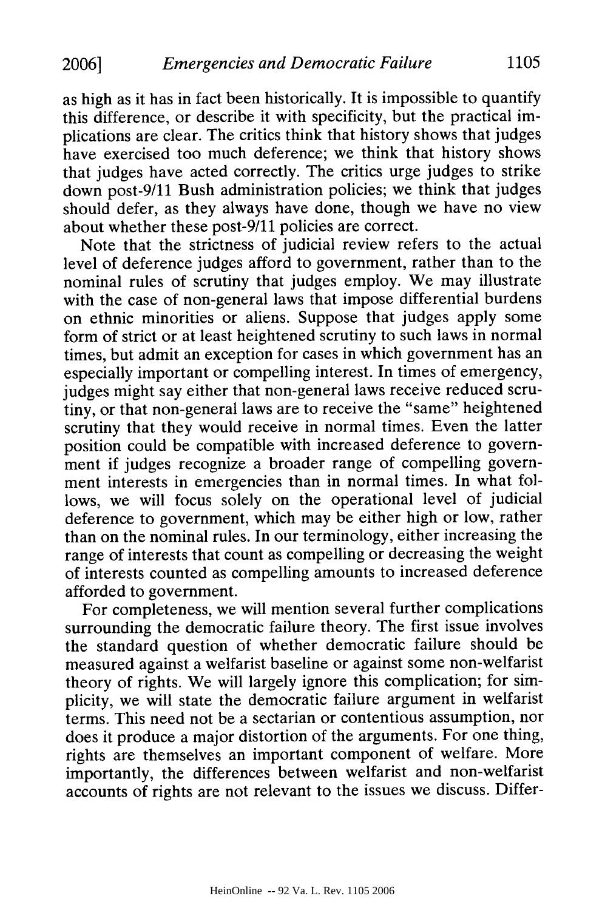as high as it has in fact been historically. It is impossible to quantify this difference, or describe it with specificity, but the practical implications are clear. The critics think that history shows that judges have exercised too much deference; we think that history shows that judges have acted correctly. The critics urge judges to strike down post-9/11 Bush administration policies; we think that judges should defer, as they always have done, though we have no view about whether these post-9/11 policies are correct.

Note that the strictness of judicial review refers to the actual level of deference judges afford to government, rather than to the nominal rules of scrutiny that judges employ. We may illustrate with the case of non-general laws that impose differential burdens on ethnic minorities or aliens. Suppose that judges apply some form of strict or at least heightened scrutiny to such laws in normal times, but admit an exception for cases in which government has an especially important or compelling interest. In times of emergency, judges might say either that non-general laws receive reduced scrutiny, or that non-general laws are to receive the "same" heightened scrutiny that they would receive in normal times. Even the latter position could be compatible with increased deference to government if judges recognize a broader range of compelling government interests in emergencies than in normal times. In what follows, we will focus solely on the operational level of judicial deference to government, which may be either high or low, rather than on the nominal rules. In our terminology, either increasing the range of interests that count as compelling or decreasing the weight of interests counted as compelling amounts to increased deference afforded to government.

For completeness, we will mention several further complications surrounding the democratic failure theory. The first issue involves the standard question of whether democratic failure should be measured against a welfarist baseline or against some non-welfarist theory of rights. We will largely ignore this complication; for simplicity, we will state the democratic failure argument in welfarist terms. This need not be a sectarian or contentious assumption, nor does it produce a major distortion of the arguments. For one thing, rights are themselves an important component of welfare. More importantly, the differences between welfarist and non-welfarist accounts of rights are not relevant to the issues we discuss. Differ-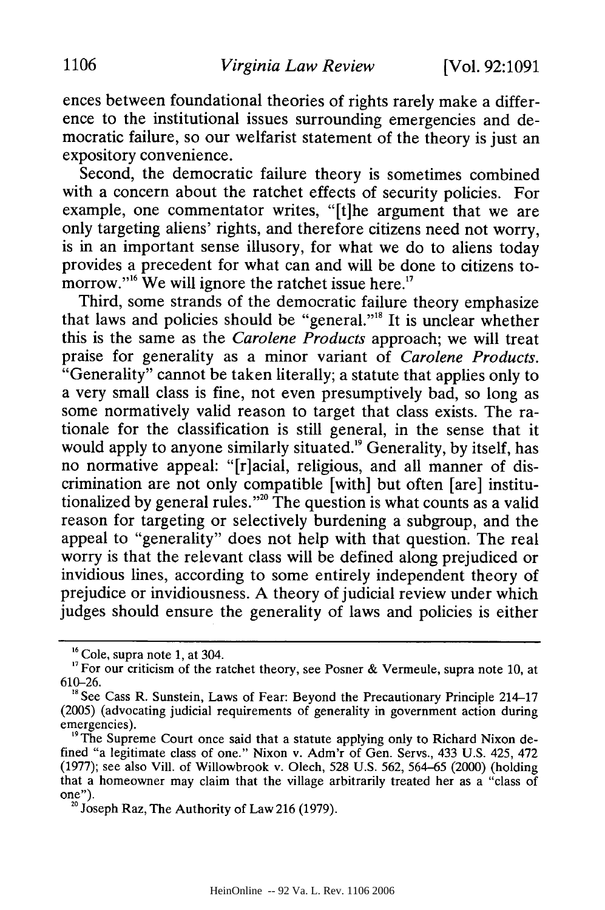ences between foundational theories of rights rarely make a difference to the institutional issues surrounding emergencies and democratic failure, so our welfarist statement of the theory is just an expository convenience.

Second, the democratic failure theory is sometimes combined with a concern about the ratchet effects of security policies. For example, one commentator writes, "[t]he argument that we are only targeting aliens' rights, and therefore citizens need not worry, is in an important sense illusory, for what we do to aliens today provides a precedent for what can and will be done to citizens tomorrow."<sup>16</sup> We will ignore the ratchet issue here.<sup>17</sup>

Third, some strands of the democratic failure theory emphasize that laws and policies should be "general."<sup>8</sup> It is unclear whether this is the same as the *Carolene Products* approach; we will treat praise for generality as a minor variant of *Carolene Products.* "Generality" cannot be taken literally; a statute that applies only to a very small class is fine, not even presumptively bad, so long as some normatively valid reason to target that class exists. The rationale for the classification is still general, in the sense that it would apply to anyone similarly situated.<sup>19</sup> Generality, by itself, has no normative appeal: "[r]acial, religious, and all manner of discrimination are not only compatible [with] but often [are] institutionalized by general rules."<sup>20</sup> The question is what counts as a valid reason for targeting or selectively burdening a subgroup, and the appeal to "generality" does not help with that question. The real worry is that the relevant class will be defined along prejudiced or invidious lines, according to some entirely independent theory of prejudice or invidiousness. A theory of judicial review under which judges should ensure the generality of laws and policies is either

**<sup>16</sup>**Cole, supra note 1, at 304.

 $17$  For our criticism of the ratchet theory, see Posner & Vermeule, supra note 10, at 610-26.

**<sup>&</sup>quot; See** Cass R. Sunstein, Laws of Fear: Beyond the Precautionary Principle 214-17 (2005) (advocating judicial requirements of generality in government action during emergencies).

<sup>&</sup>lt;sup>19</sup> The Supreme Court once said that a statute applying only to Richard Nixon defined "a legitimate class of one." Nixon v. Adm'r of Gen. Servs., 433 U.S. 425, 472 (1977); see also Vill. of Willowbrook v. Olech, 528 U.S. 562, 564-65 (2000) (holding that a homeowner may claim that the village arbitrarily treated her as a "class of one").<br><sup>20</sup> Joseph Raz, The Authority of Law 216 (1979).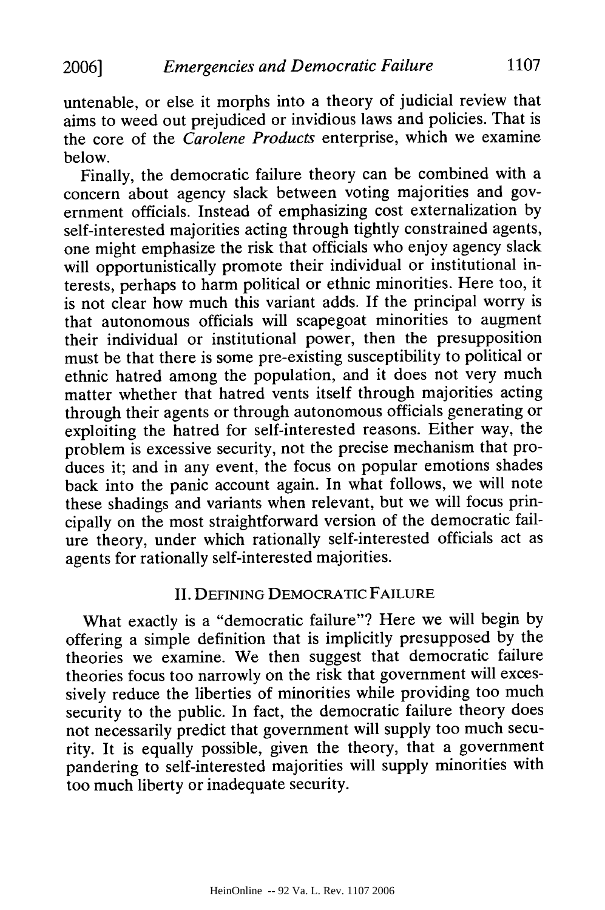untenable, or else it morphs into a theory of judicial review that aims to weed out prejudiced or invidious laws and policies. That is the core of the *Carolene Products* enterprise, which we examine below.

Finally, the democratic failure theory can be combined with a concern about agency slack between voting majorities and government officials. Instead of emphasizing cost externalization by self-interested majorities acting through tightly constrained agents, one might emphasize the risk that officials who enjoy agency slack will opportunistically promote their individual or institutional interests, perhaps to harm political or ethnic minorities. Here too, it is not clear how much this variant adds. If the principal worry is that autonomous officials will scapegoat minorities to augment their individual or institutional power, then the presupposition must be that there is some pre-existing susceptibility to political or ethnic hatred among the population, and it does not very much matter whether that hatred vents itself through majorities acting through their agents or through autonomous officials generating or exploiting the hatred for self-interested reasons. Either way, the problem is excessive security, not the precise mechanism that produces it; and in any event, the focus on popular emotions shades back into the panic account again. In what follows, we will note these shadings and variants when relevant, but we will focus principally on the most straightforward version of the democratic failure theory, under which rationally self-interested officials act as agents for rationally self-interested majorities.

### II. DEFINING DEMOCRATIC FAILURE

What exactly is a "democratic failure"? Here we will begin by offering a simple definition that is implicitly presupposed by the theories we examine. We then suggest that democratic failure theories focus too narrowly on the risk that government will excessively reduce the liberties of minorities while providing too much security to the public. In fact, the democratic failure theory does not necessarily predict that government will supply too much security. It is equally possible, given the theory, that a government pandering to self-interested majorities will supply minorities with too much liberty or inadequate security.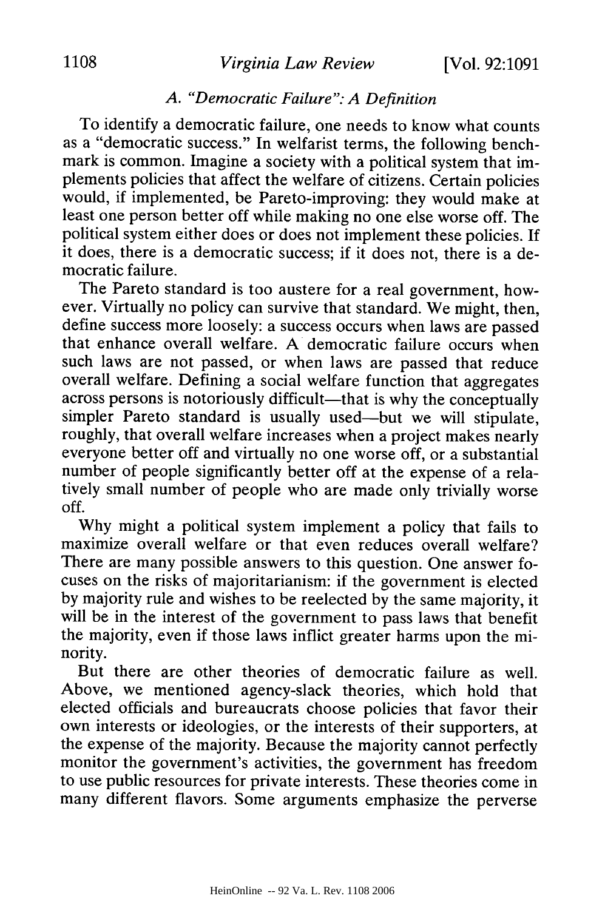# *A. "Democratic Failure": A Definition*

To identify a democratic failure, one needs to know what counts as a "democratic success." In welfarist terms, the following benchmark is common. Imagine a society with a political system that implements policies that affect the welfare of citizens. Certain policies would, if implemented, be Pareto-improving: they would make at least one person better off while making no one else worse off. The political system either does or does not implement these policies. If it does, there is a democratic success; if it does not, there is a democratic failure.

The Pareto standard is too austere for a real government, however. Virtually no policy can survive that standard. We might, then, define success more loosely: a success occurs when laws are passed that enhance overall welfare. A democratic failure occurs when such laws are not passed, or when laws are passed that reduce overall welfare. Defining a social welfare function that aggregates across persons is notoriously difficult-that is why the conceptually simpler Pareto standard is usually used-but we will stipulate, roughly, that overall welfare increases when a project makes nearly everyone better off and virtually no one worse off, or a substantial number of people significantly better off at the expense of a relatively small number of people who are made only trivially worse off.

Why might a political system implement a policy that fails to maximize overall welfare or that even reduces overall welfare? There are many possible answers to this question. One answer focuses on the risks of majoritarianism: if the government is elected by majority rule and wishes to be reelected by the same majority, it will be in the interest of the government to pass laws that benefit the majority, even if those laws inflict greater harms upon the minority.

But there are other theories of democratic failure as well. Above, we mentioned agency-slack theories, which hold that elected officials and bureaucrats choose policies that favor their own interests or ideologies, or the interests of their supporters, at the expense of the majority. Because the majority cannot perfectly monitor the government's activities, the government has freedom to use public resources for private interests. These theories come in many different flavors. Some arguments emphasize the perverse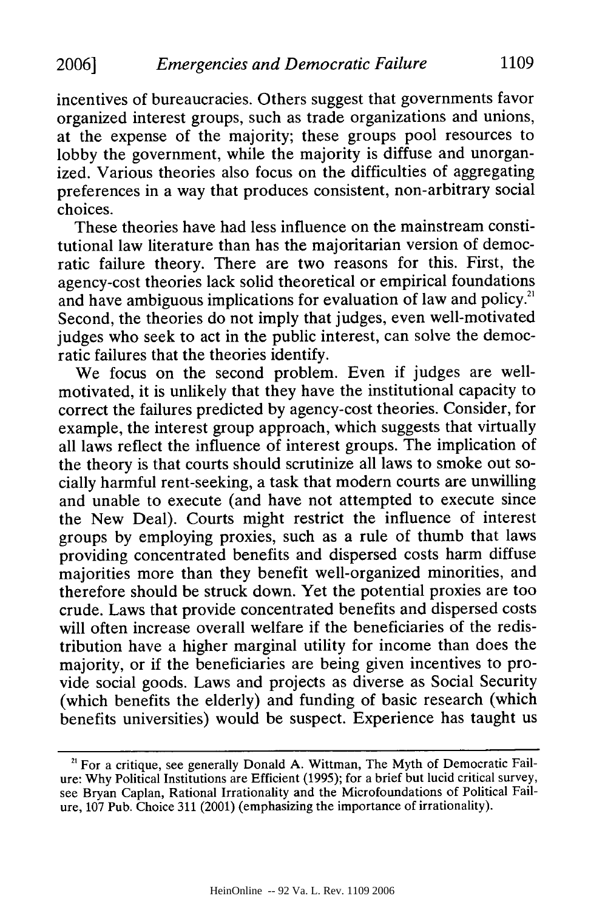incentives of bureaucracies. Others suggest that governments favor organized interest groups, such as trade organizations and unions, at the expense of the majority; these groups pool resources to lobby the government, while the majority is diffuse and unorganized. Various theories also focus on the difficulties of aggregating preferences in a way that produces consistent, non-arbitrary social choices.

These theories have had less influence on the mainstream constitutional law literature than has the majoritarian version of democratic failure theory. There are two reasons for this. First, the agency-cost theories lack solid theoretical or empirical foundations and have ambiguous implications for evaluation of law and policy.<sup>21</sup> Second, the theories do not imply that judges, even well-motivated judges who seek to act in the public interest, can solve the democratic failures that the theories identify.

We focus on the second problem. Even if judges are wellmotivated, it is unlikely that they have the institutional capacity to correct the failures predicted by agency-cost theories. Consider, for example, the interest group approach, which suggests that virtually all laws reflect the influence of interest groups. The implication of the theory is that courts should scrutinize all laws to smoke out socially harmful rent-seeking, a task that modern courts are unwilling and unable to execute (and have not attempted to execute since the New Deal). Courts might restrict the influence of interest groups by employing proxies, such as a rule of thumb that laws providing concentrated benefits and dispersed costs harm diffuse majorities more than they benefit well-organized minorities, and therefore should be struck down. Yet the potential proxies are too crude. Laws that provide concentrated benefits and dispersed costs will often increase overall welfare if the beneficiaries of the redistribution have a higher marginal utility for income than does the majority, or if the beneficiaries are being given incentives to provide social goods. Laws and projects as diverse as Social Security (which benefits the elderly) and funding of basic research (which benefits universities) would be suspect. Experience has taught us

<sup>&</sup>lt;sup>21</sup> For a critique, see generally Donald A. Wittman, The Myth of Democratic Failure: Why Political Institutions are Efficient (1995); for a brief but lucid critical survey, see Bryan Caplan, Rational Irrationality and the Microfoundations of Political Failure, 107 Pub. Choice 311 (2001) (emphasizing the importance of irrationality).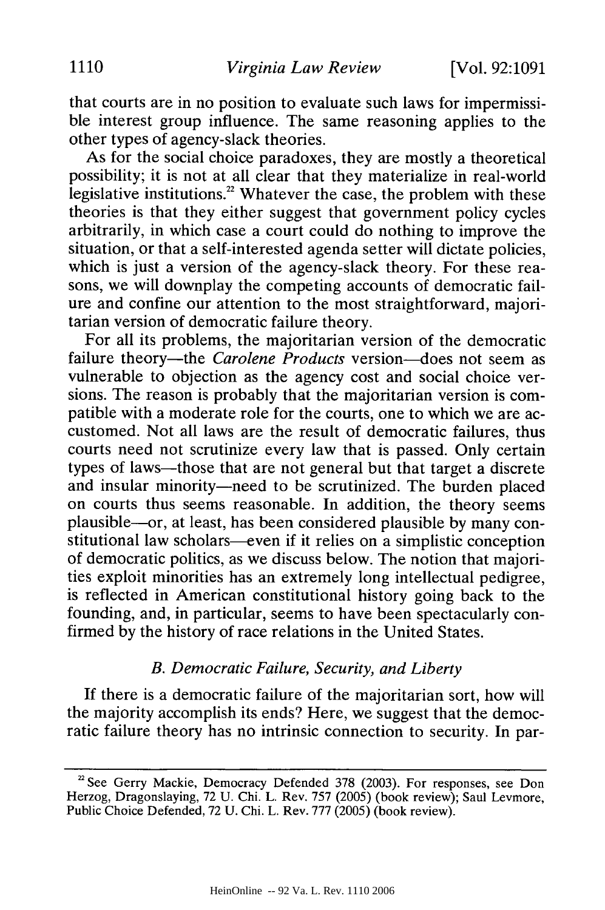that courts are in no position to evaluate such laws for impermissible interest group influence. The same reasoning applies to the other types of agency-slack theories.

As for the social choice paradoxes, they are mostly a theoretical possibility; it is not at all clear that they materialize in real-world legislative institutions.<sup>22</sup> Whatever the case, the problem with these theories is that they either suggest that government policy cycles arbitrarily, in which case a court could do nothing to improve the situation, or that a self-interested agenda setter will dictate policies, which is just a version of the agency-slack theory. For these reasons, we will downplay the competing accounts of democratic failure and confine our attention to the most straightforward, majoritarian version of democratic failure theory.

For all its problems, the majoritarian version of the democratic failure theory—the *Carolene Products* version—does not seem as vulnerable to objection as the agency cost and social choice versions. The reason is probably that the majoritarian version is compatible with a moderate role for the courts, one to which we are accustomed. Not all laws are the result of democratic failures, thus courts need not scrutinize every law that is passed. Only certain types of laws-those that are not general but that target a discrete and insular minority—need to be scrutinized. The burden placed on courts thus seems reasonable. In addition, the theory seems plausible-or, at least, has been considered plausible by many constitutional law scholars—even if it relies on a simplistic conception of democratic politics, as we discuss below. The notion that majorities exploit minorities has an extremely long intellectual pedigree, is reflected in American constitutional history going back to the founding, and, in particular, seems to have been spectacularly confirmed by the history of race relations in the United States.

#### *B. Democratic Failure, Security, and Liberty*

If there is a democratic failure of the majoritarian sort, how will the majority accomplish its ends? Here, we suggest that the democratic failure theory has no intrinsic connection to security. In par-

 $2^{2}$  See Gerry Mackie, Democracy Defended 378 (2003). For responses, see Don Herzog, Dragonslaying, 72 U. Chi. L. Rev. 757 (2005) (book review); Saul Levmore, Public Choice Defended, 72 U. Chi. L. Rev. 777 (2005) (book review).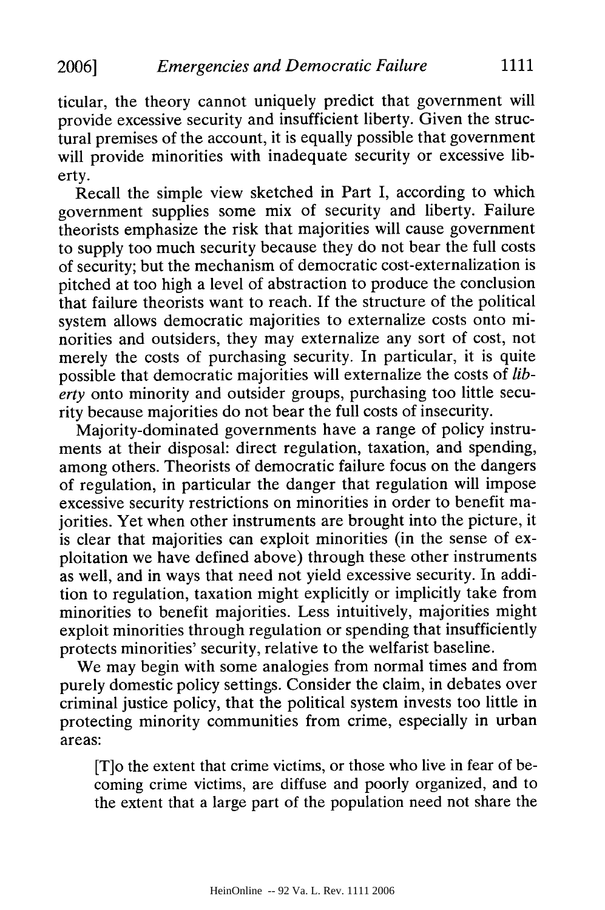ticular, the theory cannot uniquely predict that government will provide excessive security and insufficient liberty. Given the structural premises of the account, it is equally possible that government will provide minorities with inadequate security or excessive liberty.

Recall the simple view sketched in Part I, according to which government supplies some mix of security and liberty. Failure theorists emphasize the risk that majorities will cause government to supply too much security because they do not bear the full costs of security; but the mechanism of democratic cost-externalization is pitched at too high a level of abstraction to produce the conclusion that failure theorists want to reach. If the structure of the political system allows democratic majorities to externalize costs onto minorities and outsiders, they may externalize any sort of cost, not merely the costs of purchasing security. In particular, it is quite possible that democratic majorities will externalize the costs of *liberty* onto minority and outsider groups, purchasing too little security because majorities do not bear the full costs of insecurity.

Majority-dominated governments have a range of policy instruments at their disposal: direct regulation, taxation, and spending, among others. Theorists of democratic failure focus on the dangers of regulation, in particular the danger that regulation will impose excessive security restrictions on minorities in order to benefit majorities. Yet when other instruments are brought into the picture, it is clear that majorities can exploit minorities (in the sense of exploitation we have defined above) through these other instruments as well, and in ways that need not yield excessive security. In addition to regulation, taxation might explicitly or implicitly take from minorities to benefit majorities. Less intuitively, majorities might exploit minorities through regulation or spending that insufficiently protects minorities' security, relative to the welfarist baseline.

We may begin with some analogies from normal times and from purely domestic policy settings. Consider the claim, in debates over criminal justice policy, that the political system invests too little in protecting minority communities from crime, especially in urban areas:

[T]o the extent that crime victims, or those who live in fear of becoming crime victims, are diffuse and poorly organized, and to the extent that a large part of the population need not share the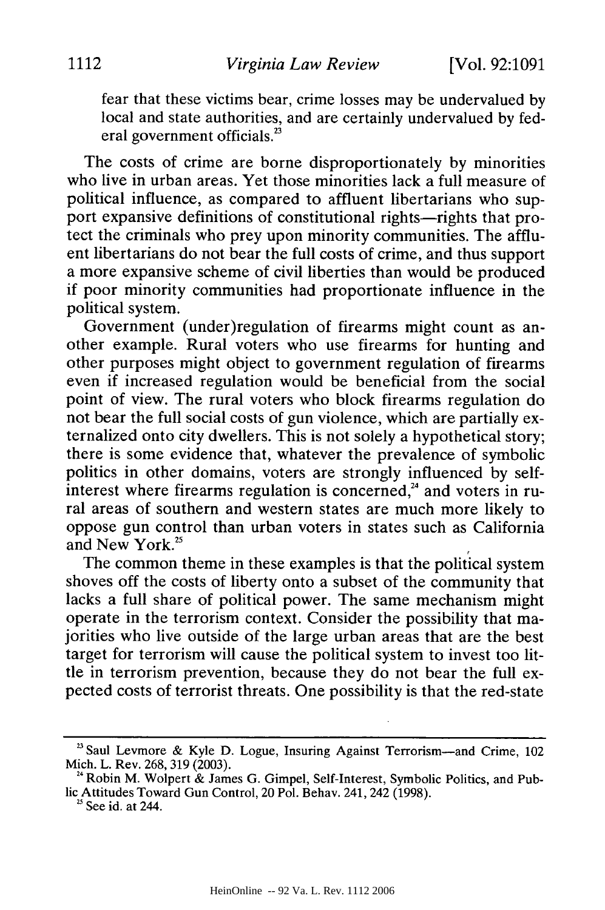fear that these victims bear, crime losses may be undervalued by local and state authorities, and are certainly undervalued by federal government officials.<sup>23</sup>

The costs of crime are borne disproportionately by minorities who live in urban areas. Yet those minorities lack a full measure of political influence, as compared to affluent libertarians who support expansive definitions of constitutional rights-rights that protect the criminals who prey upon minority communities. The affluent libertarians do not bear the full costs of crime, and thus support a more expansive scheme of civil liberties than would be produced if poor minority communities had proportionate influence in the political system.

Government (under)regulation of firearms might count as another example. Rural voters who use firearms for hunting and other purposes might object to government regulation of firearms even if increased regulation would be beneficial from the social point of view. The rural voters who block firearms regulation do not bear the full social costs of gun violence, which are partially externalized onto city dwellers. This is not solely a hypothetical story; there is some evidence that, whatever the prevalence of symbolic politics in other domains, voters are strongly influenced by selfinterest where firearms regulation is concerned, $24$  and voters in rural areas of southern and western states are much more likely to oppose gun control than urban voters in states such as California and New York.<sup>25</sup>

The common theme in these examples is that the political system shoves off the costs of liberty onto a subset of the community that lacks a full share of political power. The same mechanism might operate in the terrorism context. Consider the possibility that majorities who live outside of the large urban areas that are the best target for terrorism will cause the political system to invest too little in terrorism prevention, because they do not bear the full expected costs of terrorist threats. One possibility is that the red-state

<sup>&</sup>lt;sup>23</sup> Saul Levmore & Kyle D. Logue, Insuring Against Terrorism—and Crime, 102 Mich. L. Rev. 268, 319 (2003).

<sup>&</sup>lt;sup>24</sup> Robin M. Wolpert & James G. Gimpel, Self-Interest, Symbolic Politics, and Public Attitudes Toward Gun Control, 20 Pol. Behav. 241, 242 (1998).

 $2<sup>25</sup>$  See id. at 244.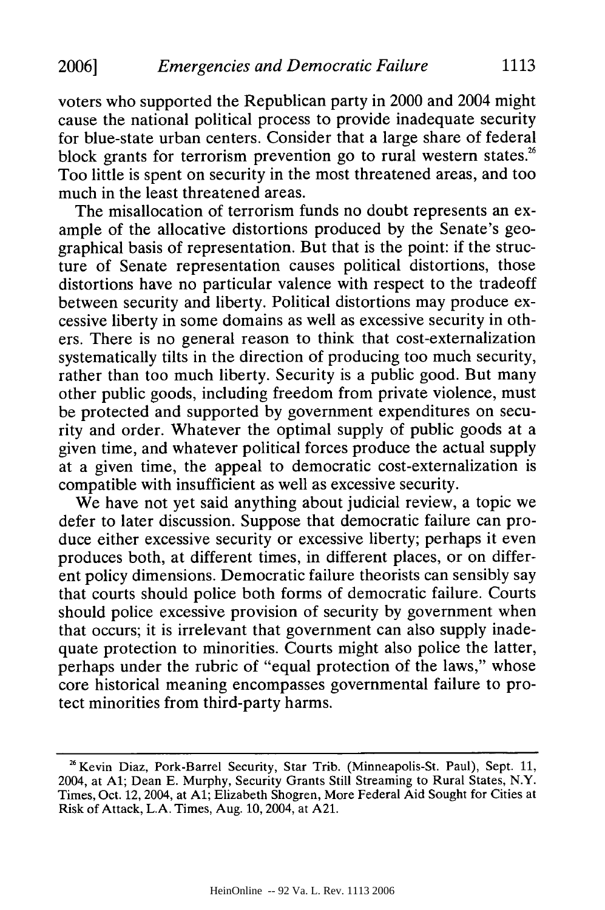voters who supported the Republican party in 2000 and 2004 might cause the national political process to provide inadequate security for blue-state urban centers. Consider that a large share of federal block grants for terrorism prevention go to rural western states. $26$ Too little is spent on security in the most threatened areas, and too much in the least threatened areas.

The misallocation of terrorism funds no doubt represents an example of the allocative distortions produced by the Senate's geographical basis of representation. But that is the point: if the structure of Senate representation causes political distortions, those distortions have no particular valence with respect to the tradeoff between security and liberty. Political distortions may produce excessive liberty in some domains as well as excessive security in others. There is no general reason to think that cost-externalization systematically tilts in the direction of producing too much security, rather than too much liberty. Security is a public good. But many other public goods, including freedom from private violence, must be protected and supported by government expenditures on security and order. Whatever the optimal supply of public goods at a given time, and whatever political forces produce the actual supply at a given time, the appeal to democratic cost-externalization is compatible with insufficient as well as excessive security.

We have not yet said anything about judicial review, a topic we defer to later discussion. Suppose that democratic failure can produce either excessive security or excessive liberty; perhaps it even produces both, at different times, in different places, or on different policy dimensions. Democratic failure theorists can sensibly say that courts should police both forms of democratic failure. Courts should police excessive provision of security by government when that occurs; it is irrelevant that government can also supply inadequate protection to minorities. Courts might also police the latter, perhaps under the rubric of "equal protection of the laws," whose core historical meaning encompasses governmental failure to protect minorities from third-party harms.

<sup>&</sup>lt;sup>26</sup> Kevin Diaz, Pork-Barrel Security, Star Trib. (Minneapolis-St. Paul), Sept. 11, 2004, at **Al;** Dean E. Murphy, Security Grants Still Streaming to Rural States, N.Y. Times, Oct. 12, 2004, at **Al;** Elizabeth Shogren, More Federal Aid Sought for Cities at Risk of Attack, L.A. Times, Aug. 10, 2004, at A21.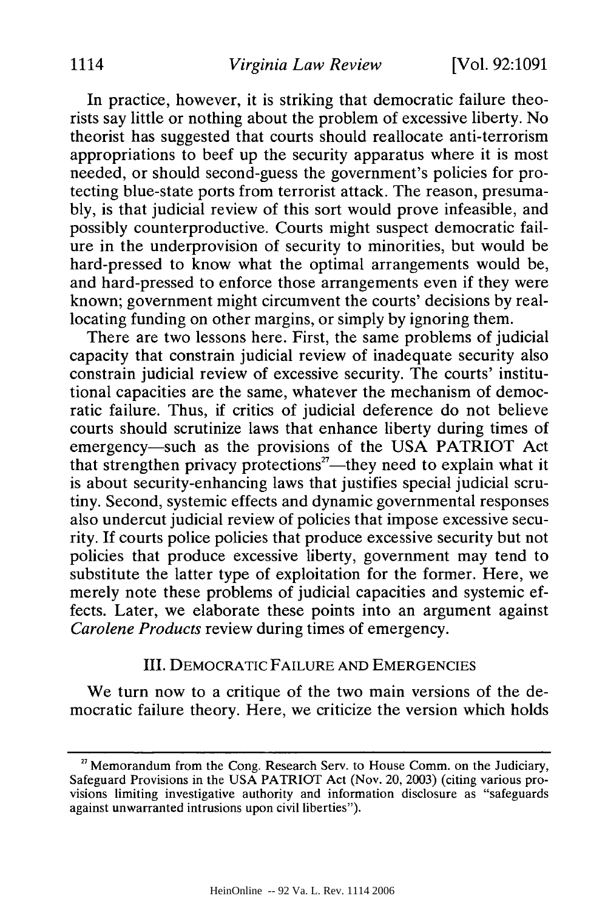In practice, however, it is striking that democratic failure theorists say little or nothing about the problem of excessive liberty. No theorist has suggested that courts should reallocate anti-terrorism appropriations to beef up the security apparatus where it is most needed, or should second-guess the government's policies for protecting blue-state ports from terrorist attack. The reason, presumably, is that judicial review of this sort would prove infeasible, and possibly counterproductive. Courts might suspect democratic failure in the underprovision of security to minorities, but would be hard-pressed to know what the optimal arrangements would be, and hard-pressed to enforce those arrangements even if they were known; government might circumvent the courts' decisions by reallocating funding on other margins, or simply by ignoring them.

There are two lessons here. First, the same problems of judicial capacity that constrain judicial review of inadequate security also constrain judicial review of excessive security. The courts' institutional capacities are the same, whatever the mechanism of democratic failure. Thus, if critics of judicial deference do not believe courts should scrutinize laws that enhance liberty during times of emergency—such as the provisions of the USA PATRIOT Act that strengthen privacy protections<sup>27</sup>—they need to explain what it is about security-enhancing laws that justifies special judicial scrutiny. Second, systemic effects and dynamic governmental responses also undercut judicial review of policies that impose excessive security. If courts police policies that produce excessive security but not policies that produce excessive liberty, government may tend to substitute the latter type of exploitation for the former. Here, we merely note these problems of judicial capacities and systemic effects. Later, we elaborate these points into an argument against *Carolene Products* review during times of emergency.

#### III. DEMOCRATIC FAILURE **AND EMERGENCIES**

We turn now to a critique of the two main versions of the democratic failure theory. Here, we criticize the version which holds

 $27$  Memorandum from the Cong. Research Serv. to House Comm. on the Judiciary, Safeguard Provisions in the USA PATRIOT Act (Nov. 20, 2003) (citing various provisions limiting investigative authority and information disclosure as "safeguards against unwarranted intrusions upon civil liberties").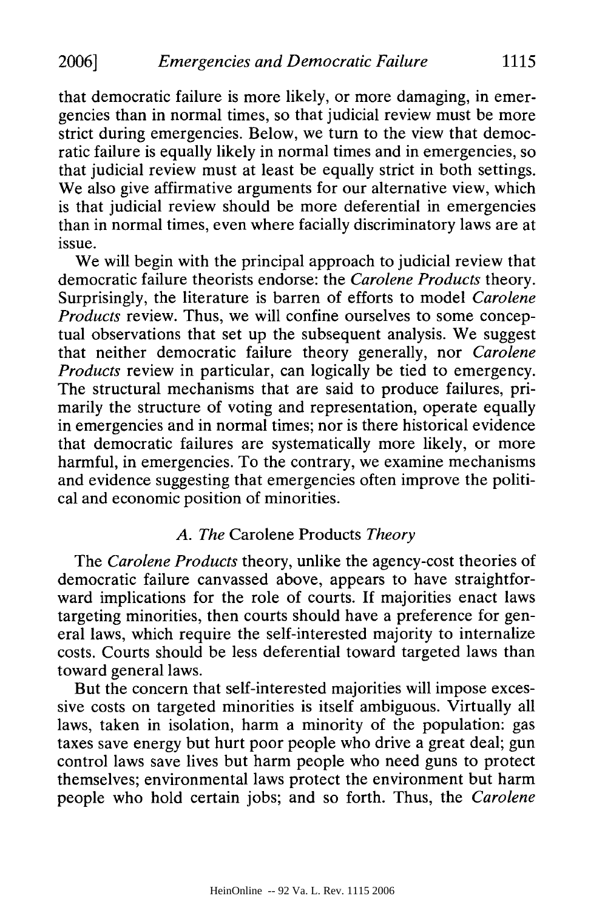that democratic failure is more likely, or more damaging, in emergencies than in normal times, so that judicial review must be more strict during emergencies. Below, we turn to the view that democratic failure is equally likely in normal times and in emergencies, so that judicial review must at least be equally strict in both settings. We also give affirmative arguments for our alternative view, which is that judicial review should be more deferential in emergencies than in normal times, even where facially discriminatory laws are at issue.

We will begin with the principal approach to judicial review that democratic failure theorists endorse: the *Carolene Products* theory. Surprisingly, the literature is barren of efforts to model *Carolene Products* review. Thus, we will confine ourselves to some conceptual observations that set up the subsequent analysis. We suggest that neither democratic failure theory generally, nor *Carolene Products* review in particular, can logically be tied to emergency. The structural mechanisms that are said to produce failures, primarily the structure of voting and representation, operate equally in emergencies and in normal times; nor is there historical evidence that democratic failures are systematically more likely, or more harmful, in emergencies. To the contrary, we examine mechanisms and evidence suggesting that emergencies often improve the political and economic position of minorities.

# *A. The* Carolene Products *Theory*

The *Carolene Products* theory, unlike the agency-cost theories of democratic failure canvassed above, appears to have straightforward implications for the role of courts. If majorities enact laws targeting minorities, then courts should have a preference for general laws, which require the self-interested majority to internalize costs. Courts should be less deferential toward targeted laws than toward general laws.

But the concern that self-interested majorities will impose excessive costs on targeted minorities is itself ambiguous. Virtually all laws, taken in isolation, harm a minority of the population: gas taxes save energy but hurt poor people who drive a great deal; gun control laws save lives but harm people who need guns to protect themselves; environmental laws protect the environment but harm people who hold certain jobs; and so forth. Thus, the *Carolene*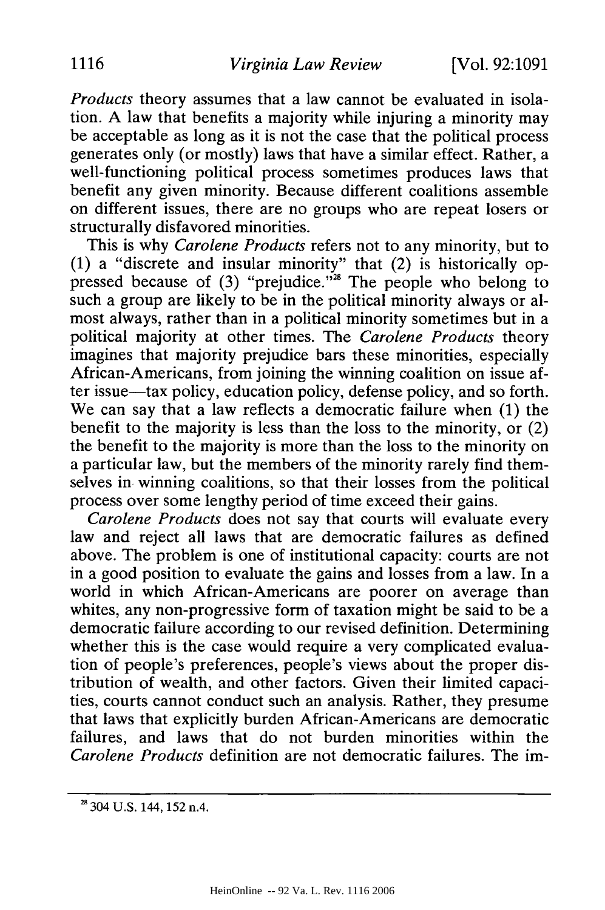*Products* theory assumes that a law cannot be evaluated in isolation. A law that benefits a majority while injuring a minority may be acceptable as long as it is not the case that the political process generates only (or mostly) laws that have a similar effect. Rather, a well-functioning political process sometimes produces laws that benefit any given minority. Because different coalitions assemble on different issues, there are no groups who are repeat losers or structurally disfavored minorities.

This is why *Carolene Products* refers not to any minority, but to (1) a "discrete and insular minority" that (2) is historically oppressed because of (3) "prejudice."<sup>28</sup> The people who belong to such a group are likely to be in the political minority always or almost always, rather than in a political minority sometimes but in a political majority at other times. The *Carolene Products* theory imagines that majority prejudice bars these minorities, especially African-Americans, from joining the winning coalition on issue after issue—tax policy, education policy, defense policy, and so forth. We can say that a law reflects a democratic failure when (1) the benefit to the majority is less than the loss to the minority, or (2) the benefit to the majority is more than the loss to the minority on a particular law, but the members of the minority rarely find themselves in winning coalitions, so that their losses from the political process over some lengthy period of time exceed their gains.

*Carolene Products* does not say that courts will evaluate every law and reject all laws that are democratic failures as defined above. The problem is one of institutional capacity: courts are not in a good position to evaluate the gains and losses from a law. In a world in which African-Americans are poorer on average than whites, any non-progressive form of taxation might be said to be a democratic failure according to our revised definition. Determining whether this is the case would require a very complicated evaluation of people's preferences, people's views about the proper distribution of wealth, and other factors. Given their limited capacities, courts cannot conduct such an analysis. Rather, they presume that laws that explicitly burden African-Americans are democratic failures, and laws that do not burden minorities within the *Carolene Products* definition are not democratic failures. The im-

<sup>&</sup>lt;sup>28</sup> 304 U.S. 144, 152 n.4.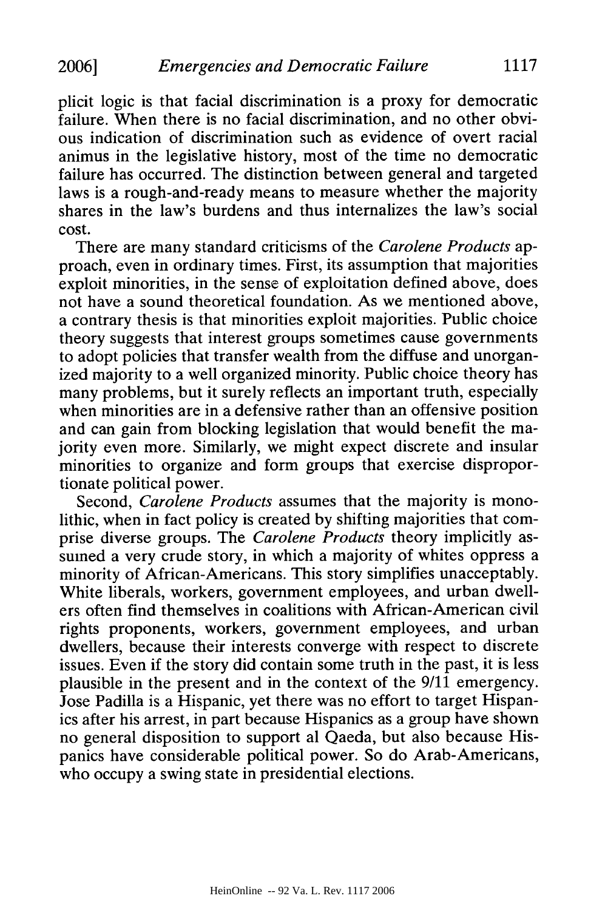plicit logic is that facial discrimination is a proxy for democratic failure. When there is no facial discrimination, and no other obvious indication of discrimination such as evidence of overt racial animus in the legislative history, most of the time no democratic failure has occurred. The distinction between general and targeted laws is a rough-and-ready means to measure whether the majority shares in the law's burdens and thus internalizes the law's social cost.

There are many standard criticisms of the *Carolene Products* approach, even in ordinary times. First, its assumption that majorities exploit minorities, in the sense of exploitation defined above, does not have a sound theoretical foundation. As we mentioned above, a contrary thesis is that minorities exploit majorities. Public choice theory suggests that interest groups sometimes cause governments to adopt policies that transfer wealth from the diffuse and unorganized majority to a well organized minority. Public choice theory has many problems, but it surely reflects an important truth, especially when minorities are in a defensive rather than an offensive position and can gain from blocking legislation that would benefit the majority even more. Similarly, we might expect discrete and insular minorities to organize and form groups that exercise disproportionate political power.

Second, *Carolene Products* assumes that the majority is monolithic, when in fact policy is created by shifting majorities that comprise diverse groups. The *Carolene Products* theory implicitly assumed a very crude story, in which a majority of whites oppress a minority of African-Americans. This story simplifies unacceptably. White liberals, workers, government employees, and urban dwellers often find themselves in coalitions with African-American civil rights proponents, workers, government employees, and urban dwellers, because their interests converge with respect to discrete issues. Even if the story did contain some truth in the past, it is less plausible in the present and in the context of the 9/11 emergency. Jose Padilla is a Hispanic, yet there was no effort to target Hispanics after his arrest, in part because Hispanics as a group have shown no general disposition to support al Qaeda, but also because Hispanics have considerable political power. So do Arab-Americans, who occupy a swing state in presidential elections.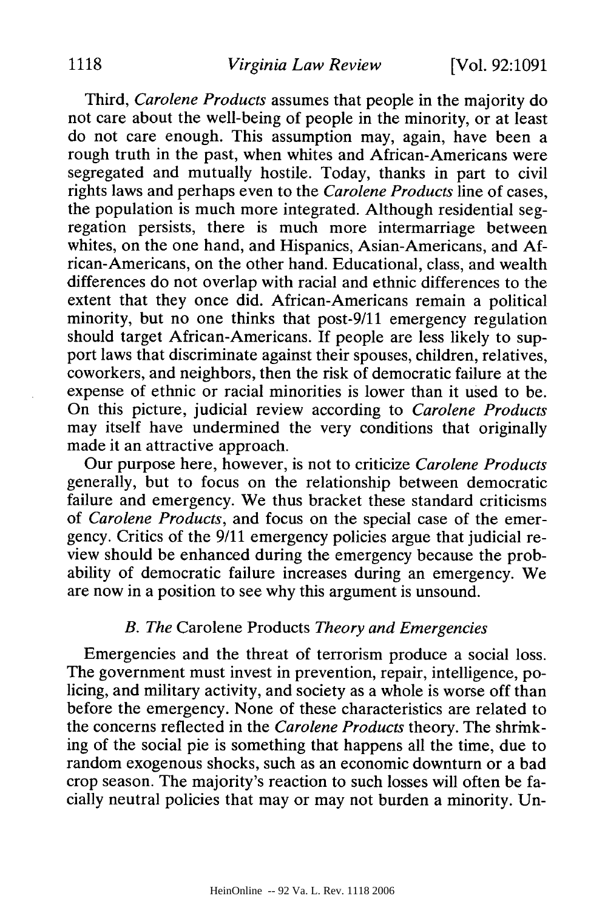Third, *Carolene Products* assumes that people in the majority do not care about the well-being of people in the minority, or at least do not care enough. This assumption may, again, have been a rough truth in the past, when whites and African-Americans were segregated and mutually hostile. Today, thanks in part to civil rights laws and perhaps even to the *Carolene Products* line of cases, the population is much more integrated. Although residential segregation persists, there is much more intermarriage between whites, on the one hand, and Hispanics, Asian-Americans, and African-Americans, on the other hand. Educational, class, and wealth differences do not overlap with racial and ethnic differences to the extent that they once did. African-Americans remain a political minority, but no one thinks that post-9/11 emergency regulation should target African-Americans. If people are less likely to support laws that discriminate against their spouses, children, relatives, coworkers, and neighbors, then the risk of democratic failure at the expense of ethnic or racial minorities is lower than it used to be. On this picture, judicial review according to *Carolene Products* may itself have undermined the very conditions that originally made it an attractive approach.

Our purpose here, however, is not to criticize *Carolene Products* generally, but to focus on the relationship between democratic failure and emergency. We thus bracket these standard criticisms of *Carolene Products,* and focus on the special case of the emergency. Critics of the 9/11 emergency policies argue that judicial review should be enhanced during the emergency because the probability of democratic failure increases during an emergency. We are now in a position to see why this argument is unsound.

# *B. The* Carolene Products *Theory and Emergencies*

Emergencies and the threat of terrorism produce a social loss. The government must invest in prevention, repair, intelligence, policing, and military activity, and society as a whole is worse off than before the emergency. None of these characteristics are related to the concerns reflected in the *Carolene Products* theory. The shrinking of the social pie is something that happens all the time, due to random exogenous shocks, such as an economic downturn or a bad crop season. The majority's reaction to such losses will often be facially neutral policies that may or may not burden a minority. Un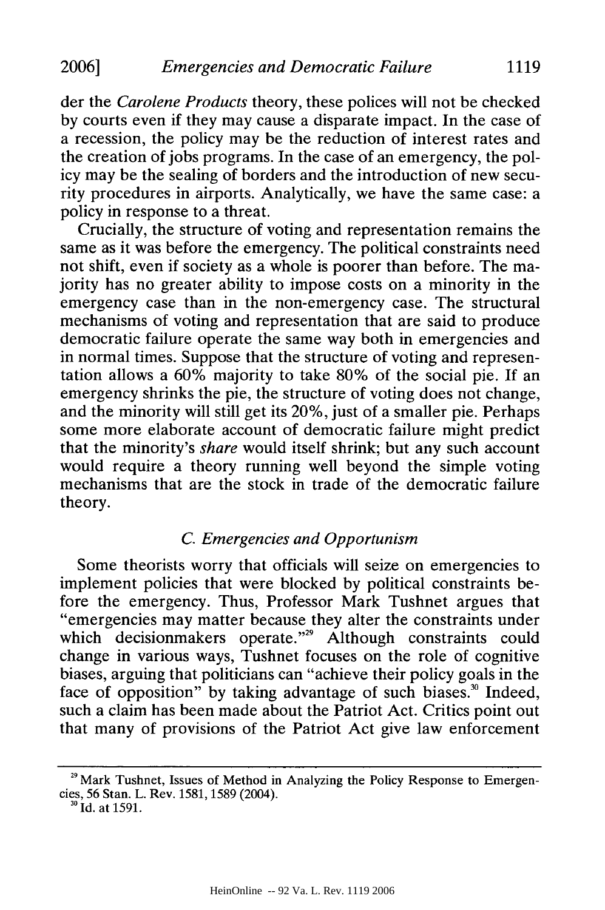der the *Carolene Products* theory, these polices will not be checked by courts even if they may cause a disparate impact. In the case of a recession, the policy may be the reduction of interest rates and the creation of jobs programs. In the case of an emergency, the policy may be the sealing of borders and the introduction of new security procedures in airports. Analytically, we have the same case: a policy in response to a threat.

Crucially, the structure of voting and representation remains the same as it was before the emergency. The political constraints need not shift, even if society as a whole is poorer than before. The majority has no greater ability to impose costs on a minority in the emergency case than in the non-emergency case. The structural mechanisms of voting and representation that are said to produce democratic failure operate the same way both in emergencies and in normal times. Suppose that the structure of voting and representation allows a 60% majority to take 80% of the social pie. If an emergency shrinks the pie, the structure of voting does not change, and the minority will still get its 20%, just of a smaller pie. Perhaps some more elaborate account of democratic failure might predict that the minority's *share* would itself shrink; but any such account would require a theory running well beyond the simple voting mechanisms that are the stock in trade of the democratic failure theory.

## *C. Emergencies and Opportunism*

Some theorists worry that officials will seize on emergencies to implement policies that were blocked by political constraints before the emergency. Thus, Professor Mark Tushnet argues that ''emergencies may matter because they alter the constraints under which decisionmakers operate."<sup>29</sup> Although constraints could change in various ways, Tushnet focuses on the role of cognitive biases, arguing that politicians can "achieve their policy goals in the face of opposition" by taking advantage of such biases.<sup>30</sup> Indeed, such a claim has been made about the Patriot Act. Critics point out that many of provisions of the Patriot Act give law enforcement

<sup>&</sup>lt;sup>29</sup> Mark Tushnet, Issues of Method in Analyzing the Policy Response to Emergencies, 56 Stan. L. Rev. 1581, 1589 (2004).

**<sup>&#</sup>x27;0** Id. at 1591.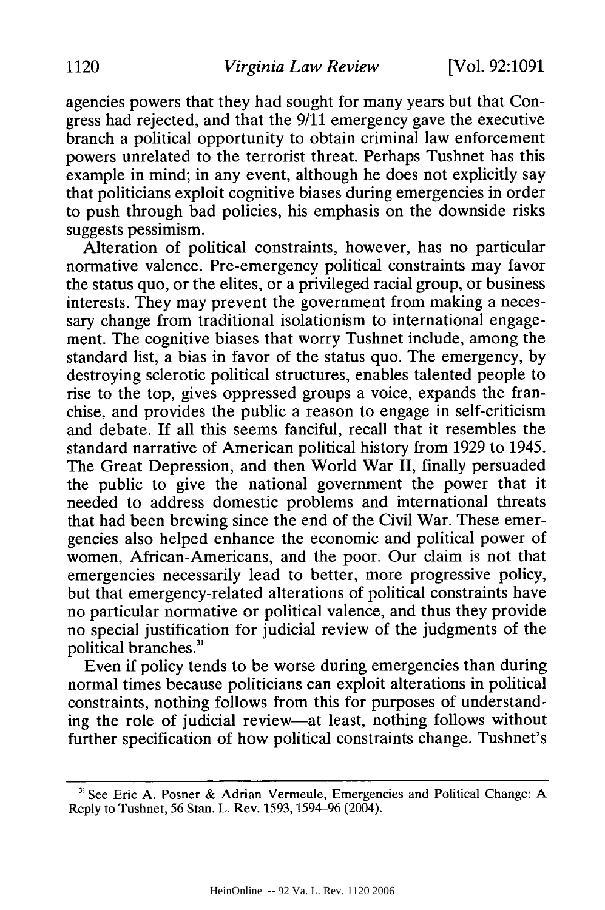agencies powers that they had sought for many years but that Congress had rejected, and that the 9/11 emergency gave the executive branch a political opportunity to obtain criminal law enforcement powers unrelated to the terrorist threat. Perhaps Tushnet has this example in mind; in any event, although he does not explicitly say that politicians exploit cognitive biases during emergencies in order to push through bad policies, his emphasis on the downside risks suggests pessimism.

Alteration of political constraints, however, has no particular normative valence. Pre-emergency political constraints may favor the status quo, or the elites, or a privileged racial group, or business interests. They may prevent the government from making a necessary change from traditional isolationism to international engagement. The cognitive biases that worry Tushnet include, among the standard list, a bias in favor of the status quo. The emergency, by destroying sclerotic political structures, enables talented people to rise' to the top, gives oppressed groups a voice, expands the franchise, and provides the public a reason to engage in self-criticism and debate. If all this seems fanciful, recall that it resembles the standard narrative of American political history from 1929 to 1945. The Great Depression, and then World War II, finally persuaded the public to give the national government the power that it needed to address domestic problems and international threats that had been brewing since the end of the Civil War. These emergencies also helped enhance the economic and political power of women, African-Americans, and the poor. Our claim is not that emergencies necessarily lead to better, more progressive policy, but that emergency-related alterations of political constraints have no particular normative or political valence, and thus they provide no special justification for judicial review of the judgments of the political branches.<sup>31</sup>

Even if policy tends to be worse during emergencies than during normal times because politicians can exploit alterations in political constraints, nothing follows from this for purposes of understanding the role of judicial review-at least, nothing follows without further specification of how political constraints change. Tushnet's

**<sup>&</sup>quot;** See Eric A. Posner & Adrian Vermeule, Emergencies and Political Change: A Reply to Tushnet, 56 Stan. L. Rev. 1593, 1594-96 (2004).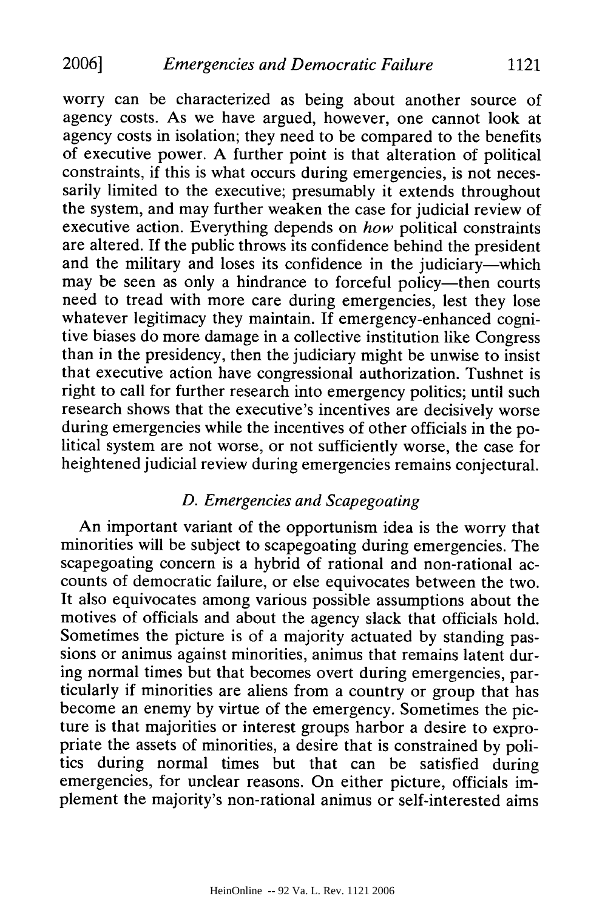worry can be characterized as being about another source of agency costs. As we have argued, however, one cannot look at agency costs in isolation; they need to be compared to the benefits of executive power. A further point is that alteration of political constraints, if this is what occurs during emergencies, is not necessarily limited to the executive; presumably it extends throughout the system, and may further weaken the case for judicial review of executive action. Everything depends on *how* political constraints are altered. If the public throws its confidence behind the president and the military and loses its confidence in the judiciary-which may be seen as only a hindrance to forceful policy—then courts need to tread with more care during emergencies, lest they lose whatever legitimacy they maintain. If emergency-enhanced cognitive biases do more damage in a collective institution like Congress than in the presidency, then the judiciary might be unwise to insist that executive action have congressional authorization. Tushnet is right to call for further research into emergency politics; until such research shows that the executive's incentives are decisively worse during emergencies while the incentives of other officials in the political system are not worse, or not sufficiently worse, the case for heightened judicial review during emergencies remains conjectural.

# *D. Emergencies and Scapegoating*

An important variant of the opportunism idea is the worry that minorities will be subject to scapegoating during emergencies. The scapegoating concern is a hybrid of rational and non-rational accounts of democratic failure, or else equivocates between the two. It also equivocates among various possible assumptions about the motives of officials and about the agency slack that officials hold. Sometimes the picture is of a majority actuated by standing passions or animus against minorities, animus that remains latent during normal times but that becomes overt during emergencies, particularly if minorities are aliens from a country or group that has become an enemy by virtue of the emergency. Sometimes the picture is that majorities or interest groups harbor a desire to expropriate the assets of minorities, a desire that is constrained by politics during normal times but that can be satisfied during emergencies, for unclear reasons. On either picture, officials implement the majority's non-rational animus or self-interested aims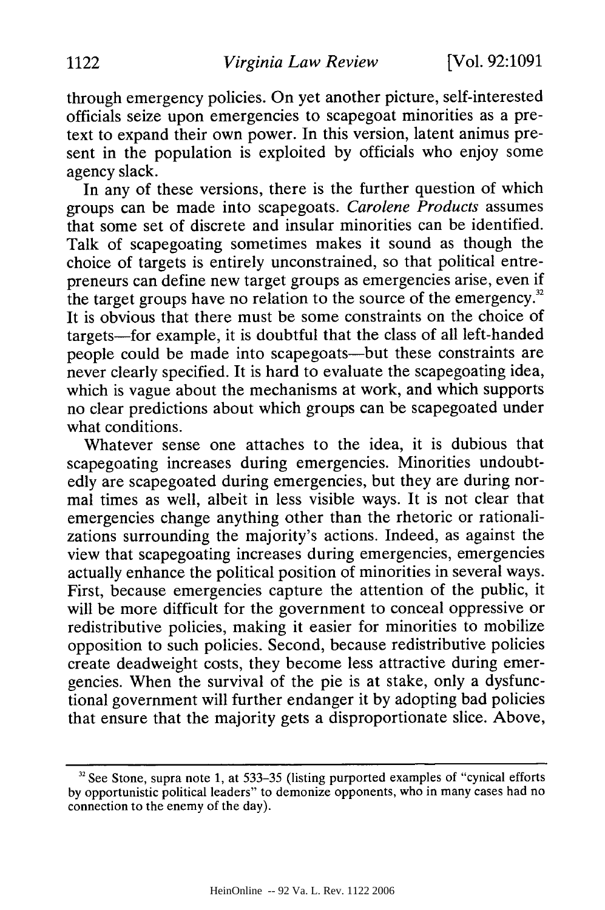through emergency policies. On yet another picture, self-interested officials seize upon emergencies to scapegoat minorities as a pretext to expand their own power. In this version, latent animus present in the population is exploited by officials who enjoy some agency slack.

In any of these versions, there is the further question of which groups can be made into scapegoats. *Carolene Products* assumes that some set of discrete and insular minorities can be identified. Talk of scapegoating sometimes makes it sound as though the choice of targets is entirely unconstrained, so that political entrepreneurs can define new target groups as emergencies arise, even if the target groups have no relation to the source of the emergency. $^{32}$ It is obvious that there must be some constraints on the choice of targets-for example, it is doubtful that the class of all left-handed people could be made into scapegoats-but these constraints are never clearly specified. It is hard to evaluate the scapegoating idea, which is vague about the mechanisms at work, and which supports no clear predictions about which groups can be scapegoated under what conditions.

Whatever sense one attaches to the idea, it is dubious that scapegoating increases during emergencies. Minorities undoubtedly are scapegoated during emergencies, but they are during normal times as well, albeit in less visible ways. It is not clear that emergencies change anything other than the rhetoric or rationalizations surrounding the majority's actions. Indeed, as against the view that scapegoating increases during emergencies, emergencies actually enhance the political position of minorities in several ways. First, because emergencies capture the attention of the public, it will be more difficult for the government to conceal oppressive or redistributive policies, making it easier for minorities to mobilize opposition to such policies. Second, because redistributive policies create deadweight costs, they become less attractive during emergencies. When the survival of the pie is at stake, only a dysfunctional government will further endanger it by adopting bad policies that ensure that the majority gets a disproportionate slice. Above,

<sup>&</sup>lt;sup>32</sup> See Stone, supra note 1, at 533-35 (listing purported examples of "cynical efforts by opportunistic political leaders" to demonize opponents, who in many cases had no connection to the enemy of the day).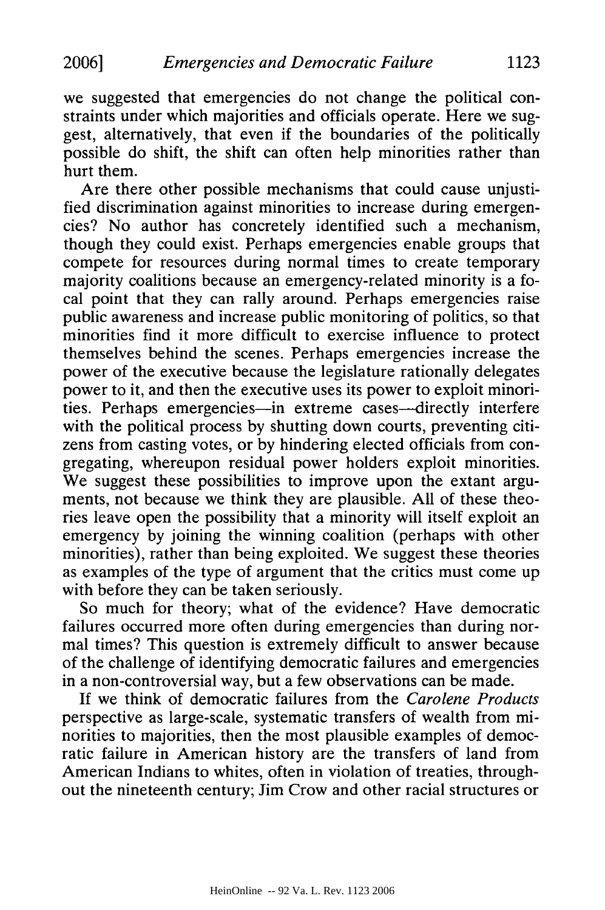we suggested that emergencies do not change the political constraints under which majorities and officials operate. Here we suggest, alternatively, that even if the boundaries of the politically possible do shift, the shift can often help minorities rather than hurt them.

Are there other possible mechanisms that could cause unjustified discrimination against minorities to increase during emergencies? No author has concretely identified such a mechanism, though they could exist. Perhaps emergencies enable groups that compete for resources during normal times to create temporary majority coalitions because an emergency-related minority is a focal point that they can rally around. Perhaps emergencies raise public awareness and increase public monitoring of politics, so that minorities find it more difficult to exercise influence to protect themselves behind the scenes. Perhaps emergencies increase the power of the executive because the legislature rationally delegates power to it, and then the executive uses its power to exploit minorities. Perhaps emergencies-in extreme cases-directly interfere with the political process by shutting down courts, preventing citizens from casting votes, or by hindering elected officials from congregating, whereupon residual power holders exploit minorities. We suggest these possibilities to improve upon the extant arguments, not because we think they are plausible. All of these theories leave open the possibility that a minority will itself exploit an emergency by joining the winning coalition (perhaps with other minorities), rather than being exploited. We suggest these theories as examples of the type of argument that the critics must come up with before they can be taken seriously.

So much for theory; what of the evidence? Have democratic failures occurred more often during emergencies than during normal times? This question is extremely difficult to answer because of the challenge of identifying democratic failures and emergencies in a non-controversial way, but a few observations can be made.

If we think of democratic failures from the *Carolene Products* perspective as large-scale, systematic transfers of wealth from minorities to majorities, then the most plausible examples of democratic failure in American history are the transfers of land from American Indians to whites, often in violation of treaties, throughout the nineteenth century; Jim Crow and other racial structures or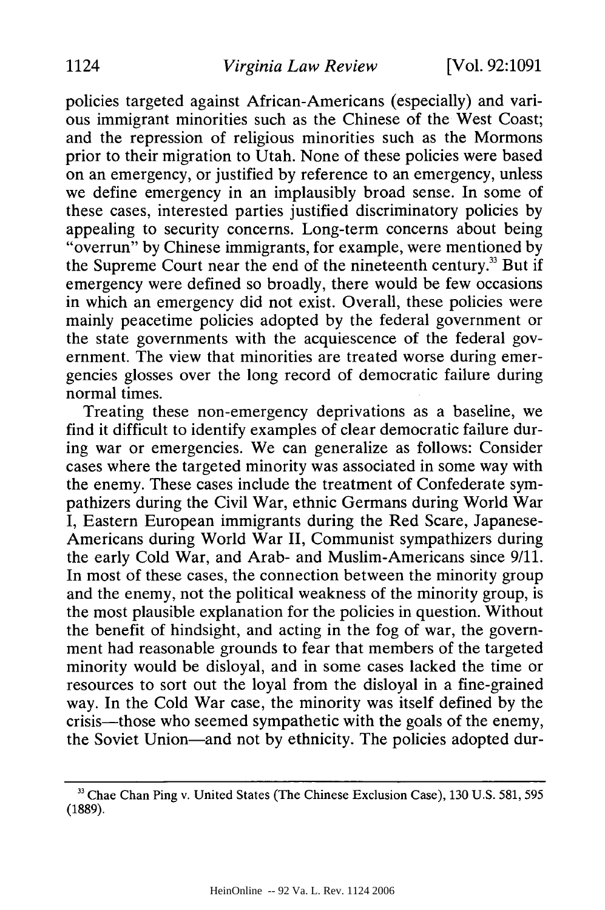policies targeted against African-Americans (especially) and various immigrant minorities such as the Chinese of the West Coast; and the repression of religious minorities such as the Mormons prior to their migration to Utah. None of these policies were based on an emergency, or justified by reference to an emergency, unless we define emergency in an implausibly broad sense. In some of these cases, interested parties justified discriminatory policies by appealing to security concerns. Long-term concerns about being "overrun" by Chinese immigrants, for example, were mentioned by the Supreme Court near the end of the nineteenth century.<sup>33</sup> But if emergency were defined so broadly, there would be few occasions in which an emergency did not exist. Overall, these policies were mainly peacetime policies adopted by the federal government or the state governments with the acquiescence of the federal government. The view that minorities are treated worse during emergencies glosses over the long record of democratic failure during normal times.

Treating these non-emergency deprivations as a baseline, we find it difficult to identify examples of clear democratic failure during war or emergencies. We can generalize as follows: Consider cases where the targeted minority was associated in some way with the enemy. These cases include the treatment of Confederate sympathizers during the Civil War, ethnic Germans during World War I, Eastern European immigrants during the Red Scare, Japanese-Americans during World War II, Communist sympathizers during the early Cold War, and Arab- and Muslim-Americans since 9/11. In most of these cases, the connection between the minority group and the enemy, not the political weakness of the minority group, is the most plausible explanation for the policies in question. Without the benefit of hindsight, and acting in the fog of war, the government had reasonable grounds to fear that members of the targeted minority would be disloyal, and in some cases lacked the time or resources to sort out the loyal from the disloyal in a fine-grained way. In the Cold War case, the minority was itself defined by the crisis-those who seemed sympathetic with the goals of the enemy, the Soviet Union-and not by ethnicity. The policies adopted dur-

<sup>&</sup>lt;sup>33</sup> Chae Chan Ping v. United States (The Chinese Exclusion Case), 130 U.S. 581, 595 (1889).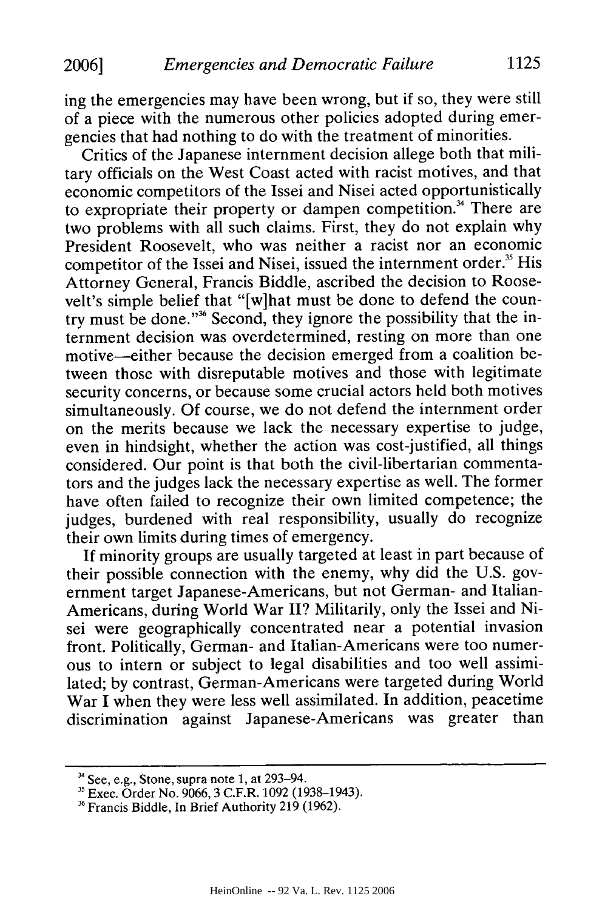ing the emergencies may have been wrong, but if so, they were still of a piece with the numerous other policies adopted during emergencies that had nothing to do with the treatment of minorities.

Critics of the Japanese internment decision allege both that military officials on the West Coast acted with racist motives, and that economic competitors of the Issei and Nisei acted opportunistically to expropriate their property or dampen competition.<sup>34</sup> There are two problems with all such claims. First, they do not explain why President Roosevelt, who was neither a racist nor an economic competitor of the Issei and Nisei, issued the internment order.<sup>35</sup> His Attorney General, Francis Biddle, ascribed the decision to Roosevelt's simple belief that "[w]hat must be done to defend the country must be done."<sup>36</sup> Second, they ignore the possibility that the internment decision was overdetermined, resting on more than one motive—either because the decision emerged from a coalition between those with disreputable motives and those with legitimate security concerns, or because some crucial actors held both motives simultaneously. Of course, we do not defend the internment order on the merits because we lack the necessary expertise to judge, even in hindsight, whether the action was cost-justified, all things considered. Our point is that both the civil-libertarian commentators and the judges lack the necessary expertise as well. The former have often failed to recognize their own limited competence; the judges, burdened with real responsibility, usually do recognize their own limits during times of emergency.

If minority groups are usually targeted at least in part because of their possible connection with the enemy, why did the U.S. government target Japanese-Americans, but not German- and Italian-Americans, during World War II? Militarily, only the Issei and Nisei were geographically concentrated near a potential invasion front. Politically, German- and Italian-Americans were too numerous to intern or subject to legal disabilities and too well assimilated; by contrast, German-Americans were targeted during World War I when they were less well assimilated. In addition, peacetime discrimination against Japanese-Americans was greater than

 $34$  See, e.g., Stone, supra note 1, at 293-94.

<sup>&</sup>lt;sup>35</sup> Exec. Order No. 9066, 3 C.F.R. 1092 (1938–1943).<br><sup>36</sup> Francis Biddle, In Brief Authority 219 (1962).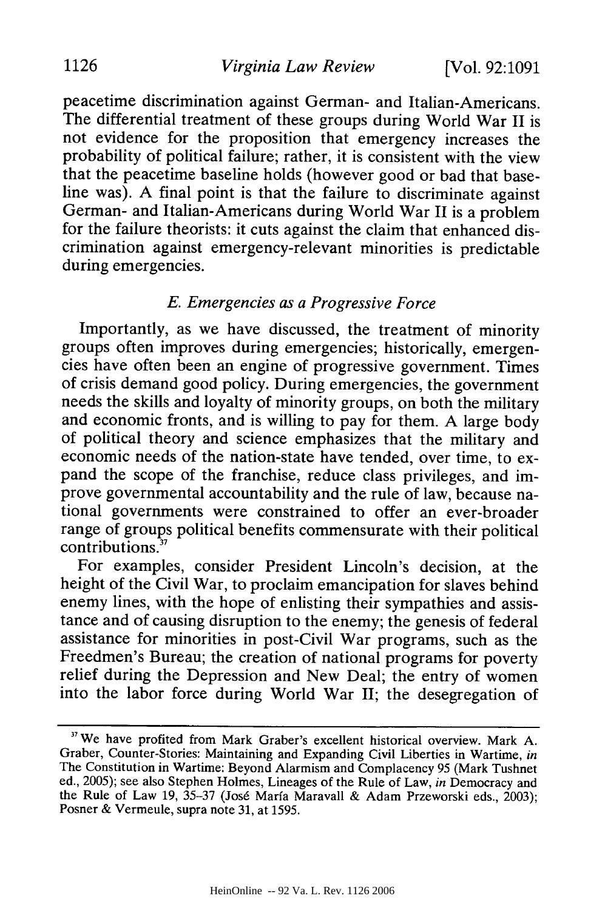peacetime discrimination against German- and Italian-Americans. The differential treatment of these groups during World War II is not evidence for the proposition that emergency increases the probability of political failure; rather, it is consistent with the view that the peacetime baseline holds (however good or bad that baseline was). A final point is that the failure to discriminate against German- and Italian-Americans during World War II is a problem for the failure theorists: it cuts against the claim that enhanced discrimination against emergency-relevant minorities is predictable during emergencies.

### *E. Emergencies as a Progressive Force*

Importantly, as we have discussed, the treatment of minority groups often improves during emergencies; historically, emergencies have often been an engine of progressive government. Times of crisis demand good policy. During emergencies, the government needs the skills and loyalty of minority groups, on both the military and economic fronts, and is willing to pay for them. A large body of political theory and science emphasizes that the military and economic needs of the nation-state have tended, over time, to expand the scope of the franchise, reduce class privileges, and improve governmental accountability and the rule of law, because national governments were constrained to offer an ever-broader range of groups political benefits commensurate with their political contributions.<sup>3</sup>

For examples, consider President Lincoln's decision, at the height of the Civil War, to proclaim emancipation for slaves behind enemy lines, with the hope of enlisting their sympathies and assistance and of causing disruption to the enemy; the genesis of federal assistance for minorities in post-Civil War programs, such as the Freedmen's Bureau; the creation of national programs for poverty relief during the Depression and New Deal; the entry of women into the labor force during World War II; the desegregation of

<sup>&</sup>lt;sup>37</sup> We have profited from Mark Graber's excellent historical overview. Mark A. Graber, Counter-Stories: Maintaining and Expanding Civil Liberties in Wartime, *in* The Constitution in Wartime: Beyond Alarmism and Complacency 95 (Mark Tushnet ed., 2005); see also Stephen Holmes, Lineages of the Rule of Law, *in* Democracy and the Rule of Law 19, 35-37 (Jos6 Marfa Maravall & Adam Przeworski eds., 2003); Posner & Vermeule, supra note 31, at 1595.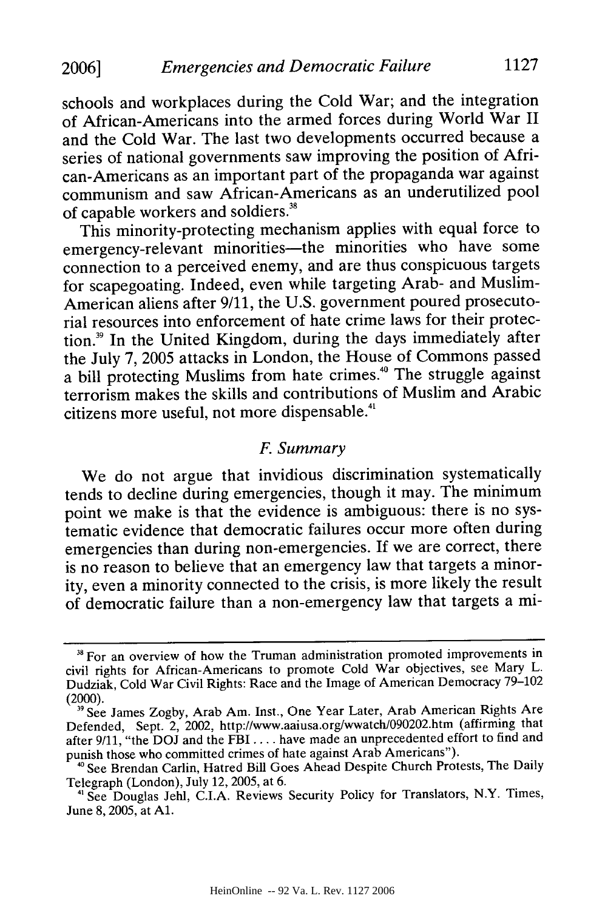schools and workplaces during the Cold War; and the integration of African-Americans into the armed forces during World War II and the Cold War. The last two developments occurred because a series of national governments saw improving the position of African-Americans as an important part of the propaganda war against communism and saw African-Americans as an underutilized pool of capable workers and soldiers.<sup>38</sup>

This minority-protecting mechanism applies with equal force to emergency-relevant minorities-the minorities who have some connection to a perceived enemy, and are thus conspicuous targets for scapegoating. Indeed, even while targeting Arab- and Muslim-American aliens after 9/11, the U.S. government poured prosecutorial resources into enforcement of hate crime laws for their protection.39 In the United Kingdom, during the days immediately after the July 7, 2005 attacks in London, the House of Commons passed a bill protecting Muslims from hate crimes.<sup>40</sup> The struggle against terrorism makes the skills and contributions of Muslim and Arabic citizens more useful, not more dispensable."

#### *F. Summary*

We do not argue that invidious discrimination systematically tends to decline during emergencies, though it may. The minimum point we make is that the evidence is ambiguous: there is no systematic evidence that democratic failures occur more often during emergencies than during non-emergencies. If we are correct, there is no reason to believe that an emergency law that targets a minority, even a minority connected to the crisis, is more likely the result of democratic failure than a non-emergency law that targets a mi-

**<sup>38</sup>** For an overview of how the Truman administration promoted improvements in civil rights for African-Americans to promote Cold War objectives, see Mary L. Dudziak, Cold War Civil Rights: Race and the Image of American Democracy 79-102 (2000).

<sup>&</sup>lt;sup>39</sup> See James Zogby, Arab Am. Inst., One Year Later, Arab American Rights Are Defended, Sept. 2, 2002, http://www.aaiusa.org/wwatch/090202.htm (affirming that after 9/11, "the DOJ and the FBI **....** have made an unprecedented effort to find and punish those who committed crimes of hate against Arab Americans").

<sup>&</sup>lt;sup>40</sup> See Brendan Carlin, Hatred Bill Goes Ahead Despite Church Protests, The Daily Telegraph (London), July 12, 2005, at 6.

**<sup>&</sup>quot;** See Douglas Jehl, C.I.A. Reviews Security Policy for Translators, N.Y. Times, June 8, 2005, at **Al.**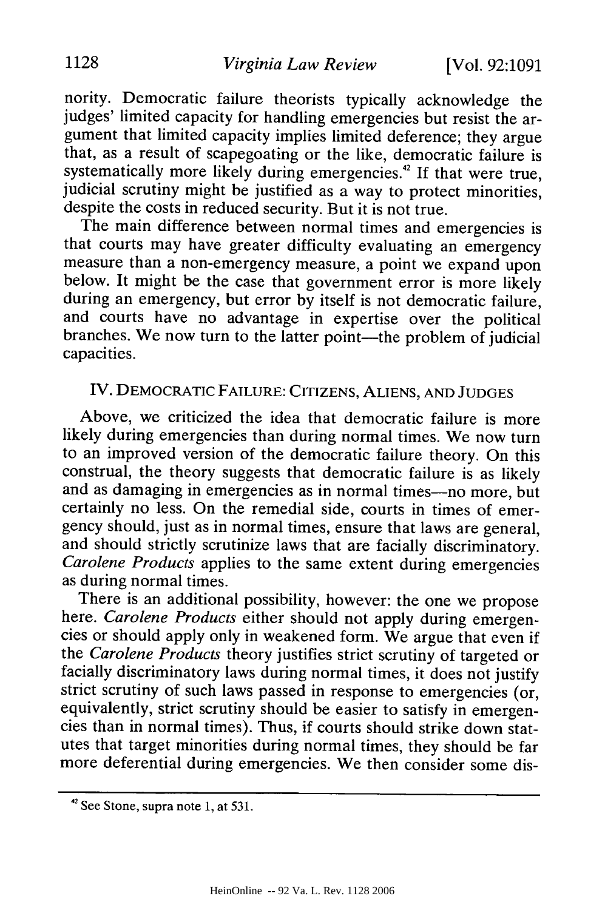nority. Democratic failure theorists typically acknowledge the judges' limited capacity for handling emergencies but resist the argument that limited capacity implies limited deference; they argue that, as a result of scapegoating or the like, democratic failure is systematically more likely during emergencies.<sup>42</sup> If that were true, judicial scrutiny might be justified as a way to protect minorities, despite the costs in reduced security. But it is not true.

The main difference between normal times and emergencies is that courts may have greater difficulty evaluating an emergency measure than a non-emergency measure, a point we expand upon below. It might be the case that government error is more likely during an emergency, but error by itself is not democratic failure, and courts have no advantage in expertise over the political branches. We now turn to the latter point—the problem of judicial capacities.

# IV. DEMOCRATIC FAILURE: CITIZENS, ALIENS, AND JUDGES

Above, we criticized the idea that democratic failure is more likely during emergencies than during normal times. We now turn to an improved version of the democratic failure theory. On this construal, the theory suggests that democratic failure is as likely and as damaging in emergencies as in normal times---no more, but certainly no less. On the remedial side, courts in times of emergency should, just as in normal times, ensure that laws are general, and should strictly scrutinize laws that are facially discriminatory. *Carolene Products* applies to the same extent during emergencies as during normal times.

There is an additional possibility, however: the one we propose here. *Carolene Products* either should not apply during emergencies or should apply only in weakened form. We argue that even if the *Carolene Products* theory justifies strict scrutiny of targeted or facially discriminatory laws during normal times, it does not justify strict scrutiny of such laws passed in response to emergencies (or, equivalently, strict scrutiny should be easier to satisfy in emergencies than in normal times). Thus, if courts should strike down statutes that target minorities during normal times, they should be far more deferential during emergencies. We then consider some dis-

**<sup>42</sup>**See Stone, supra note 1, at 531.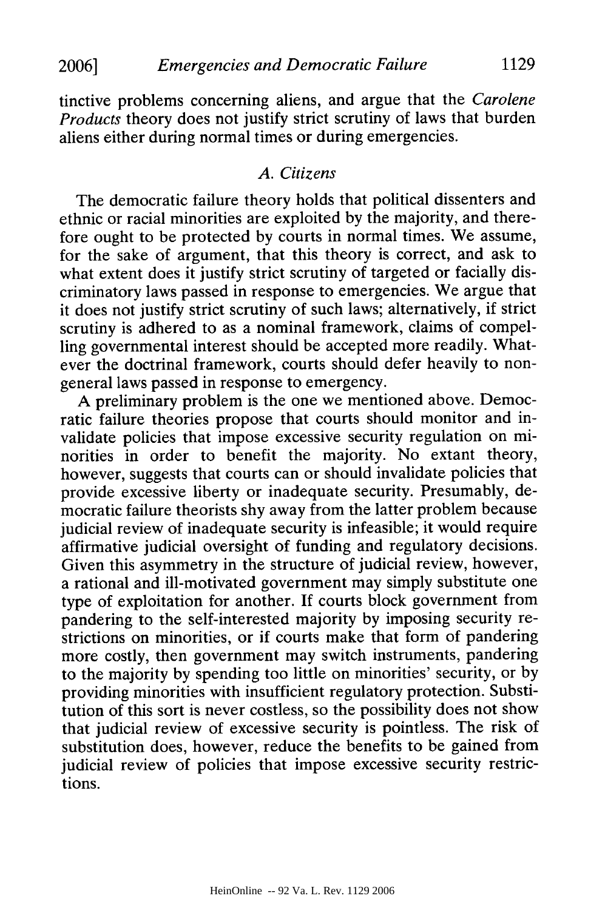tinctive problems concerning aliens, and argue that the *Carolene Products* theory does not justify strict scrutiny of laws that burden aliens either during normal times or during emergencies.

# *A. Citizens*

The democratic failure theory holds that political dissenters and ethnic or racial minorities are exploited by the majority, and therefore ought to be protected by courts in normal times. We assume, for the sake of argument, that this theory is correct, and ask to what extent does it justify strict scrutiny of targeted or facially discriminatory laws passed in response to emergencies. We argue that it does not justify strict scrutiny of such laws; alternatively, if strict scrutiny is adhered to as a nominal framework, claims of compelling governmental interest should be accepted more readily. Whatever the doctrinal framework, courts should defer heavily to nongeneral laws passed in response to emergency.

A preliminary problem is the one we mentioned above. Democratic failure theories propose that courts should monitor and invalidate policies that impose excessive security regulation on minorities in order to benefit the majority. No extant theory, however, suggests that courts can or should invalidate policies that provide excessive liberty or inadequate security. Presumably, democratic failure theorists shy away from the latter problem because judicial review of inadequate security is infeasible; it would require affirmative judicial oversight of funding and regulatory decisions. Given this asymmetry in the structure of judicial review, however, a rational and ill-motivated government may simply substitute one type of exploitation for another. If courts block government from pandering to the self-interested majority by imposing security restrictions on minorities, or if courts make that form of pandering more costly, then government may switch instruments, pandering to the majority by spending too little on minorities' security, or by providing minorities with insufficient regulatory protection. Substitution of this sort is never costless, so the possibility does not show that judicial review of excessive security is pointless. The risk of substitution does, however, reduce the benefits to be gained from judicial review of policies that impose excessive security restrictions.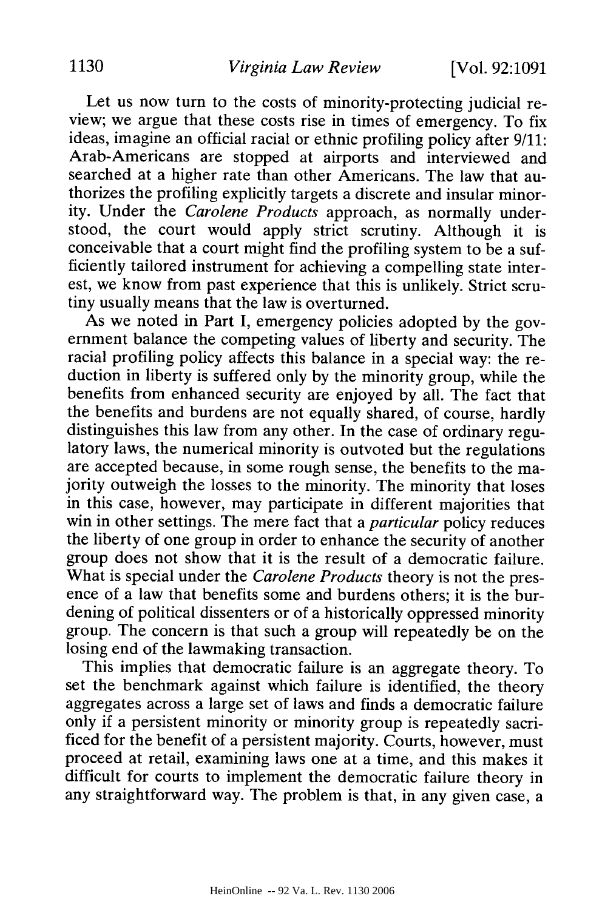Let us now turn to the costs of minority-protecting judicial review; we argue that these costs rise in times of emergency. To fix ideas, imagine an official racial or ethnic profiling policy after 9/11: Arab-Americans are stopped at airports and interviewed and searched at a higher rate than other Americans. The law that authorizes the profiling explicitly targets a discrete and insular minority. Under the *Carolene Products* approach, as normally understood, the court would apply strict scrutiny. Although it is conceivable that a court might find the profiling system to be a sufficiently tailored instrument for achieving a compelling state interest, we know from past experience that this is unlikely. Strict scrutiny usually means that the law is overturned.

As we noted in Part I, emergency policies adopted by the government balance the competing values of liberty and security. The racial profiling policy affects this balance in a special way: the reduction in liberty is suffered only by the minority group, while the benefits from enhanced security are enjoyed by all. The fact that the benefits and burdens are not equally shared, of course, hardly distinguishes this law from any other. In the case of ordinary regulatory laws, the numerical minority is outvoted but the regulations are accepted because, in some rough sense, the benefits to the majority outweigh the losses to the minority. The minority that loses in this case, however, may participate in different majorities that win in other settings. The mere fact that a *particular* policy reduces the liberty of one group in order to enhance the security of another group does not show that it is the result of a democratic failure. What is special under the *Carolene Products* theory is not the presence of a law that benefits some and burdens others; it is the burdening of political dissenters or of a historically oppressed minority group. The concern is that such a group will repeatedly be on the losing end of the lawmaking transaction.

This implies that democratic failure is an aggregate theory. To set the benchmark against which failure is identified, the theory aggregates across a large set of laws and finds a democratic failure only if a persistent minority or minority group is repeatedly sacrificed for the benefit of a persistent majority. Courts, however, must proceed at retail, examining laws one at a time, and this makes it difficult for courts to implement the democratic failure theory in any straightforward way. The problem is that, in any given case, a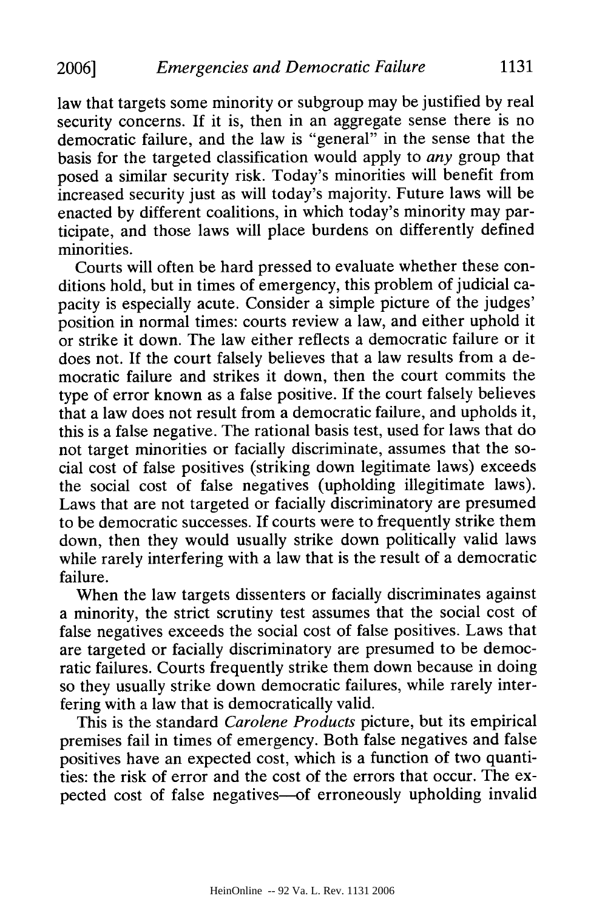law that targets some minority or subgroup may be justified by real security concerns. If it is, then in an aggregate sense there is no democratic failure, and the law is "general" in the sense that the basis for the targeted classification would apply to *any* group that posed a similar security risk. Today's minorities will benefit from increased security just as will today's majority. Future laws will be enacted by different coalitions, in which today's minority may participate, and those laws will place burdens on differently defined minorities.

Courts will often be hard pressed to evaluate whether these conditions hold, but in times of emergency, this problem of judicial capacity is especially acute. Consider a simple picture of the judges' position in normal times: courts review a law, and either uphold it or strike it down. The law either reflects a democratic failure or it does not. If the court falsely believes that a law results from a democratic failure and strikes it down, then the court commits the type of error known as a false positive. If the court falsely believes that a law does not result from a democratic failure, and upholds it, this is a false negative. The rational basis test, used for laws that do not target minorities or facially discriminate, assumes that the social cost of false positives (striking down legitimate laws) exceeds the social cost of false negatives (upholding illegitimate laws). Laws that are not targeted or facially discriminatory are presumed to be democratic successes. If courts were to frequently strike them down, then they would usually strike down politically valid laws while rarely interfering with a law that is the result of a democratic failure.

When the law targets dissenters or facially discriminates against a minority, the strict scrutiny test assumes that the social cost of false negatives exceeds the social cost of false positives. Laws that are targeted or facially discriminatory are presumed to be democratic failures. Courts frequently strike them down because in doing so they usually strike down democratic failures, while rarely interfering with a law that is democratically valid.

This is the standard *Carolene Products* picture, but its empirical premises fail in times of emergency. Both false negatives and false positives have an expected cost, which is a function of two quantities: the risk of error and the cost of the errors that occur. The expected cost of false negatives—of erroneously upholding invalid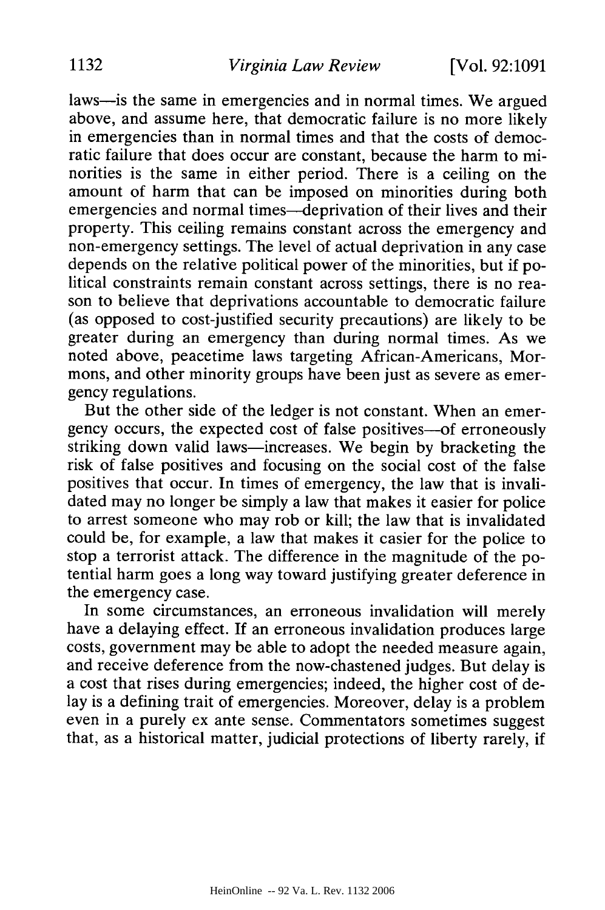laws-is the same in emergencies and in normal times. We argued above, and assume here, that democratic failure is no more likely in emergencies than in normal times and that the costs of democratic failure that does occur are constant, because the harm to minorities is the same in either period. There is a ceiling on the amount of harm that can be imposed on minorities during both emergencies and normal times-deprivation of their lives and their property. This ceiling remains constant across the emergency and non-emergency settings. The level of actual deprivation in any case depends on the relative political power of the minorities, but if political constraints remain constant across settings, there is no reason to believe that deprivations accountable to democratic failure (as opposed to cost-justified security precautions) are likely to be greater during an emergency than during normal times. As we noted above, peacetime laws targeting African-Americans, Mormons, and other minority groups have been just as severe as emergency regulations.

But the other side of the ledger is not constant. When an emergency occurs, the expected cost of false positives-of erroneously striking down valid laws-increases. We begin by bracketing the risk of false positives and focusing on the social cost of the false positives that occur. In times of emergency, the law that is invalidated may no longer be simply a law that makes it easier for police to arrest someone who may rob or kill; the law that is invalidated could be, for example, a law that makes it easier for the police to stop a terrorist attack. The difference in the magnitude of the potential harm goes a long way toward justifying greater deference in the emergency case.

In some circumstances, an erroneous invalidation will merely have a delaying effect. If an erroneous invalidation produces large costs, government may be able to adopt the needed measure again, and receive deference from the now-chastened judges. But delay is a cost that rises during emergencies; indeed, the higher cost of delay is a defining trait of emergencies. Moreover, delay is a problem even in a purely ex ante sense. Commentators sometimes suggest that, as a historical matter, judicial protections of liberty rarely, if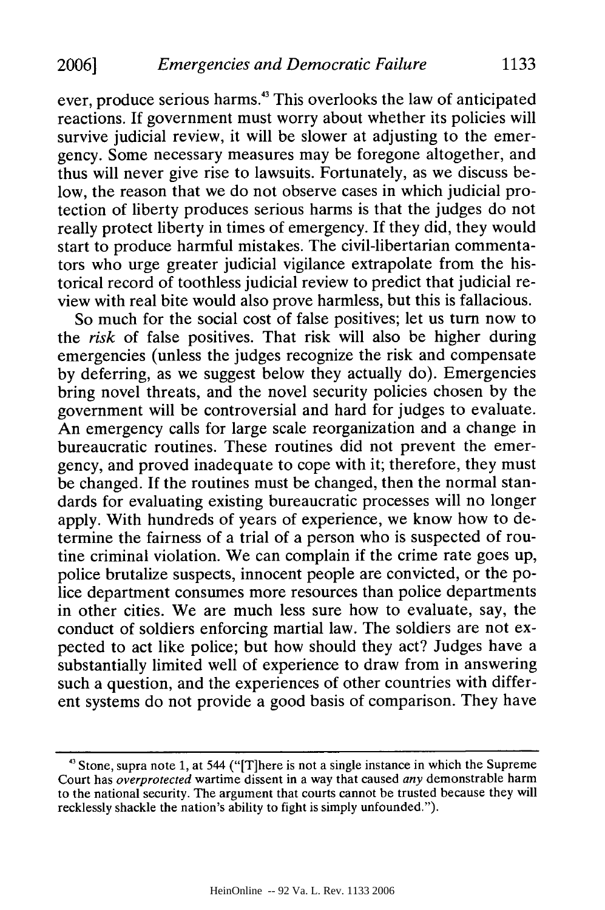ever, produce serious harms.<sup>43</sup> This overlooks the law of anticipated reactions. If government must worry about whether its policies will survive judicial review, it will be slower at adjusting to the emergency. Some necessary measures may be foregone altogether, and thus will never give rise to lawsuits. Fortunately, as we discuss below, the reason that we do not observe cases in which judicial protection of liberty produces serious harms is that the judges do not really protect liberty in times of emergency. If they did, they would start to produce harmful mistakes. The civil-libertarian commentators who urge greater judicial vigilance extrapolate from the historical record of toothless judicial review to predict that judicial review with real bite would also prove harmless, but this is fallacious.

So much for the social cost of false positives; let us turn now to the *risk* of false positives. That risk will also be higher during emergencies (unless the judges recognize the risk and compensate by deferring, as we suggest below they actually do). Emergencies bring novel threats, and the novel security policies chosen by the government will be controversial and hard for judges to evaluate. An emergency calls for large scale reorganization and a change in bureaucratic routines. These routines did not prevent the emergency, and proved inadequate to cope with it; therefore, they must be changed. If the routines must be changed, then the normal standards for evaluating existing bureaucratic processes will no longer apply. With hundreds of years of experience, we know how to determine the fairness of a trial of a person who is suspected of routine criminal violation. We can complain if the crime rate goes up, police brutalize suspects, innocent people are convicted, or the police department consumes more resources than police departments in other cities. We are much less sure how to evaluate, say, the conduct of soldiers enforcing martial law. The soldiers are not expected to act like police; but how should they act? Judges have a substantially limited well of experience to draw from in answering such a question, and the experiences of other countries with different systems do not provide a good basis of comparison. They have

<sup>&</sup>lt;sup>43</sup> Stone, supra note 1, at 544 ("[T]here is not a single instance in which the Supreme Court has *overprotected* wartime dissent in a way that caused *any* demonstrable harm to the national security. The argument that courts cannot be trusted because they will recklessly shackle the nation's ability to fight is simply unfounded.").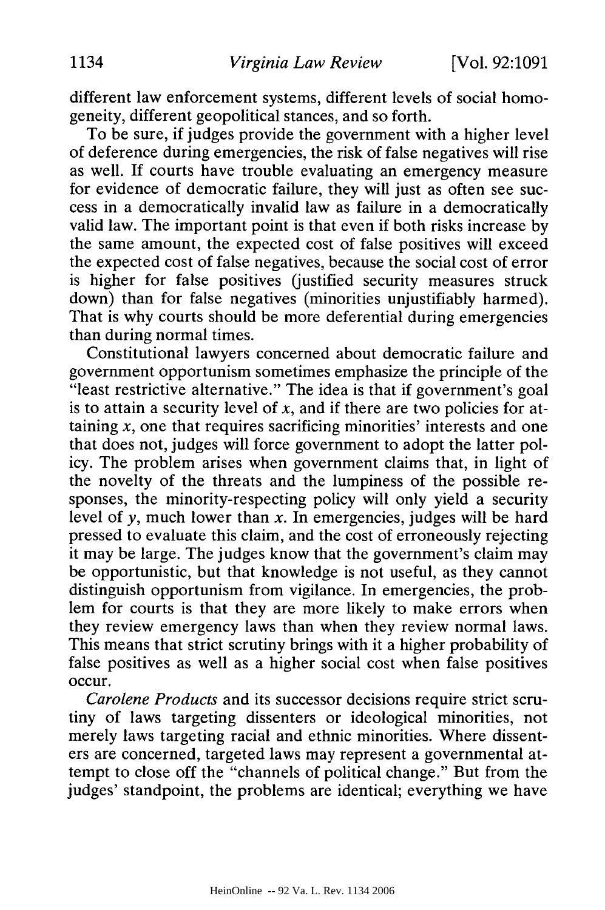different law enforcement systems, different levels of social homogeneity, different geopolitical stances, and so forth.

To be sure, if judges provide the government with a higher level of deference during emergencies, the risk of false negatives will rise as well. If courts have trouble evaluating an emergency measure for evidence of democratic failure, they will just as often see success in a democratically invalid law as failure in a democratically valid law. The important point is that even if both risks increase by the same amount, the expected cost of false positives will exceed the expected cost of false negatives, because the social cost of error is higher for false positives (justified security measures struck down) than for false negatives (minorities unjustifiably harmed). That is why courts should be more deferential during emergencies than during normal times.

Constitutional lawyers concerned about democratic failure and government opportunism sometimes emphasize the principle of the "least restrictive alternative." The idea is that if government's goal is to attain a security level of x, and if there are two policies for attaining  $x$ , one that requires sacrificing minorities' interests and one that does not, judges will force government to adopt the latter policy. The problem arises when government claims that, in light of the novelty of the threats and the lumpiness of the possible responses, the minority-respecting policy will only yield a security level of y, much lower than  $x$ . In emergencies, judges will be hard pressed to evaluate this claim, and the cost of erroneously rejecting it may be large. The judges know that the government's claim may be opportunistic, but that knowledge is not useful, as they cannot distinguish opportunism from vigilance. In emergencies, the problem for courts is that they are more likely to make errors when they review emergency laws than when they review normal laws. This means that strict scrutiny brings with it a higher probability of false positives as well as a higher social cost when false positives occur.

*Carolene Products* and its successor decisions require strict scrutiny of laws targeting dissenters or ideological minorities, not merely laws targeting racial and ethnic minorities. Where dissenters are concerned, targeted laws may represent a governmental attempt to close off the "channels of political change." But from the judges' standpoint, the problems are identical; everything we have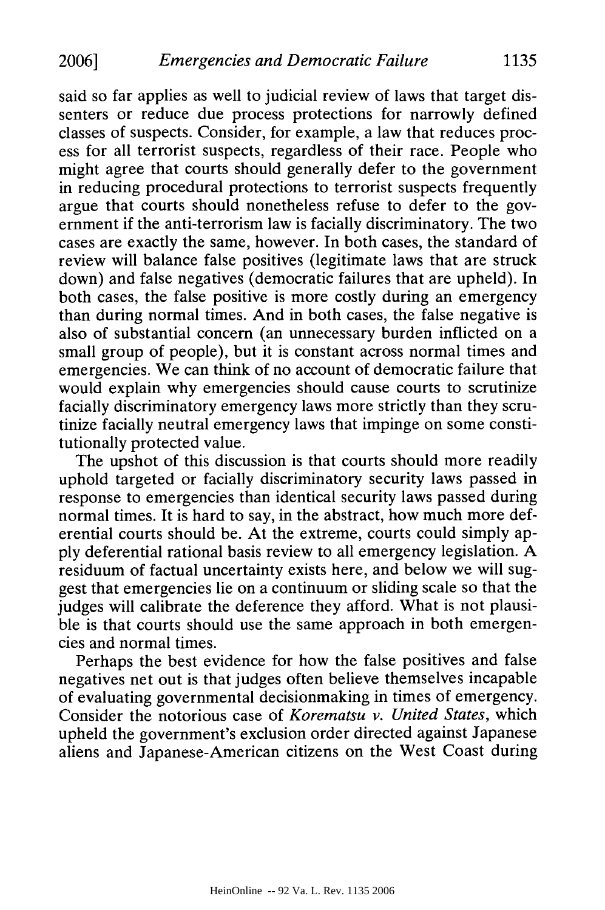said so far applies as well to judicial review of laws that target dissenters or reduce due process protections for narrowly defined classes of suspects. Consider, for example, a law that reduces process for all terrorist suspects, regardless of their race. People who might agree that courts should generally defer to the government in reducing procedural protections to terrorist suspects frequently argue that courts should nonetheless refuse to defer to the government if the anti-terrorism law is facially discriminatory. The two cases are exactly the same, however. In both cases, the standard of review will balance false positives (legitimate laws that are struck down) and false negatives (democratic failures that are upheld). In both cases, the false positive is more costly during an emergency than during normal times. And in both cases, the false negative is also of substantial concern (an unnecessary burden inflicted on a small group of people), but it is constant across normal times and emergencies. We can think of no account of democratic failure that would explain why emergencies should cause courts to scrutinize facially discriminatory emergency laws more strictly than they scrutinize facially neutral emergency laws that impinge on some constitutionally protected value.

The upshot of this discussion is that courts should more readily uphold targeted or facially discriminatory security laws passed in response to emergencies than identical security laws passed during normal times. It is hard to say, in the abstract, how much more deferential courts should be. At the extreme, courts could simply apply deferential rational basis review to all emergency legislation. A residuum of factual uncertainty exists here, and below we will suggest that emergencies lie on a continuum or sliding scale so that the judges will calibrate the deference they afford. What is not plausible is that courts should use the same approach in both emergencies and normal times.

Perhaps the best evidence for how the false positives and false negatives net out is that judges often believe themselves incapable of evaluating governmental decisionmaking in times of emergency. Consider the notorious case of *Korematsu v. United States,* which upheld the government's exclusion order directed against Japanese aliens and Japanese-American citizens on the West Coast during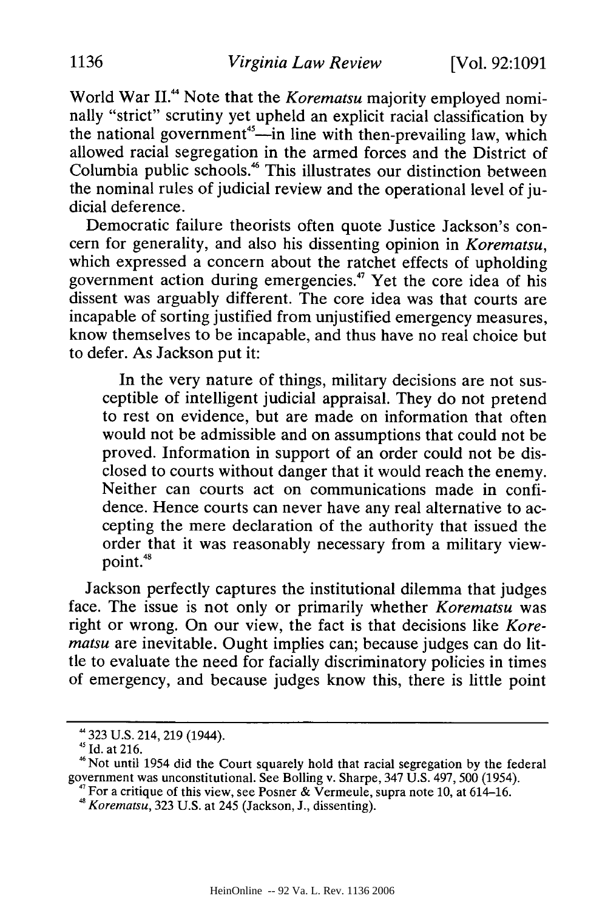World War II." Note that the *Korematsu* majority employed nominally "strict" scrutiny yet upheld an explicit racial classification by the national government<sup>45</sup>—in line with then-prevailing law, which allowed racial segregation in the armed forces and the District of Columbia public schools.<sup>46</sup> This illustrates our distinction between the nominal rules of judicial review and the operational level of judicial deference.

Democratic failure theorists often quote Justice Jackson's concern for generality, and also his dissenting opinion in *Korematsu,* which expressed a concern about the ratchet effects of upholding government action during emergencies." Yet the core idea of his dissent was arguably different. The core idea was that courts are incapable of sorting justified from unjustified emergency measures, know themselves to be incapable, and thus have no real choice but to defer. As Jackson put it:

In the very nature of things, military decisions are not susceptible of intelligent judicial appraisal. They do not pretend to rest on evidence, but are made on information that often would not be admissible and on assumptions that could not be proved. Information in support of an order could not be disclosed to courts without danger that it would reach the enemy. Neither can courts act on communications made in confidence. Hence courts can never have any real alternative to accepting the mere declaration of the authority that issued the order that it was reasonably necessary from a military viewpoint.'

Jackson perfectly captures the institutional dilemma that judges face. The issue is not only or primarily whether *Korematsu* was right or wrong. On our view, the fact is that decisions like *Korematsu* are inevitable. Ought implies can; because judges can do little to evaluate the need for facially discriminatory policies in times of emergency, and because judges know this, there is little point

<sup>&</sup>lt;sup>44</sup> 323 U.S. 214, 219 (1944).<br><sup>45</sup> Id. at 216.

<sup>&</sup>lt;sup>46</sup> Not until 1954 did the Court squarely hold that racial segregation by the federal government was unconstitutional. See Bolling v. Sharpe, 347 U.S. 497, 500 (1954).  $^{47}$  For a critique of this view, see Posner & Vermeule, supra note 10, at 614–16.

*Korematsu,* 323 U.S. at 245 (Jackson, J., dissenting).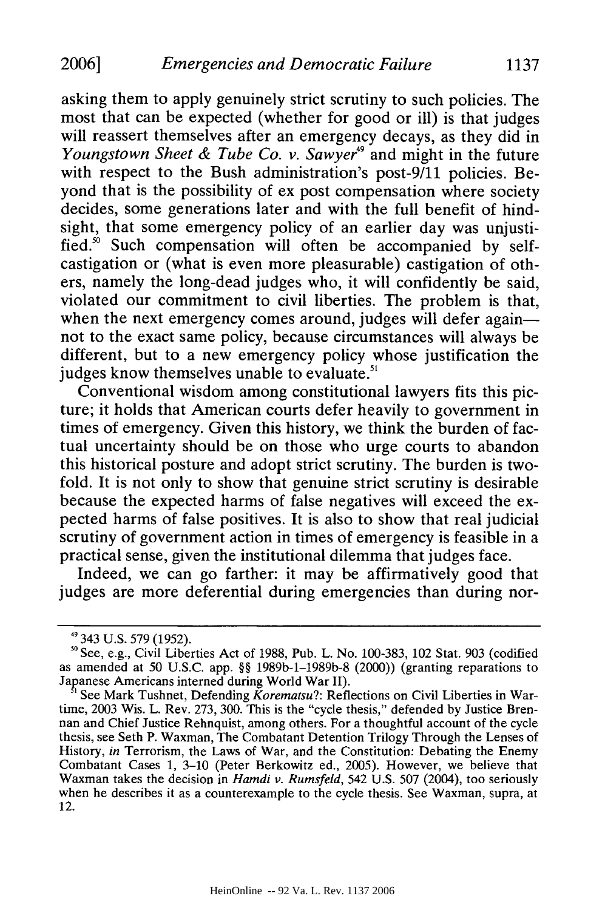asking them to apply genuinely strict scrutiny to such policies. The most that can be expected (whether for good or ill) is that judges will reassert themselves after an emergency decays, as they did in *Youngstown Sheet & Tube Co. v. Sawyer<sup>49</sup> and might in the future* with respect to the Bush administration's post-9/11 policies. Beyond that is the possibility of ex post compensation where society decides, some generations later and with the full benefit of hindsight, that some emergency policy of an earlier day was unjustified." Such compensation will often be accompanied by selfcastigation or (what is even more pleasurable) castigation of others, namely the long-dead judges who, it will confidently be said, violated our commitment to civil liberties. The problem is that, when the next emergency comes around, judges will defer againnot to the exact same policy, because circumstances will always be different, but to a new emergency policy whose justification the judges know themselves unable to evaluate.<sup>51</sup>

Conventional wisdom among constitutional lawyers fits this picture; it holds that American courts defer heavily to government in times of emergency. Given this history, we think the burden of factual uncertainty should be on those who urge courts to abandon this historical posture and adopt strict scrutiny. The burden is twofold. It is not only to show that genuine strict scrutiny is desirable because the expected harms of false negatives will exceed the expected harms of false positives. It is also to show that real judicial scrutiny of government action in times of emergency is feasible in a practical sense, given the institutional dilemma that judges face.

Indeed, we can go farther: it may be affirmatively good that judges are more deferential during emergencies than during nor-

<sup>&</sup>lt;sup>49</sup> 343 U.S. 579 (1952).<br><sup>30</sup> See, e.g., Civil Liberties Act of 1988, Pub. L. No. 100-383, 102 Stat. 903 (codified as amended at **50** U.S.C. app. §§ 1989b-1-1989b-8 (2000)) (granting reparations to Japanese Americans interned during World War II).<br><sup>51</sup> See Mark Tushnet, Defending *Korematsu?*: Reflections on Civil Liberties in War-

time, 2003 Wis. L. Rev. 273, 300. This is the "cycle thesis," defended by Justice Bren- nan and Chief Justice Rehnquist, among others. For a thoughtful account of the cycle thesis, see Seth P. Waxman, The Combatant Detention Trilogy Through the Lenses of History, *in* Terrorism, the Laws of War, and the Constitution: Debating the Enemy Combatant Cases 1, 3-10 (Peter Berkowitz ed., 2005). However, we believe that Waxman takes the decision in *Hamdi v. Rumsfeld,* 542 U.S. 507 (2004), too seriously when he describes it as a counterexample to the cycle thesis. See Waxman, supra, at 12.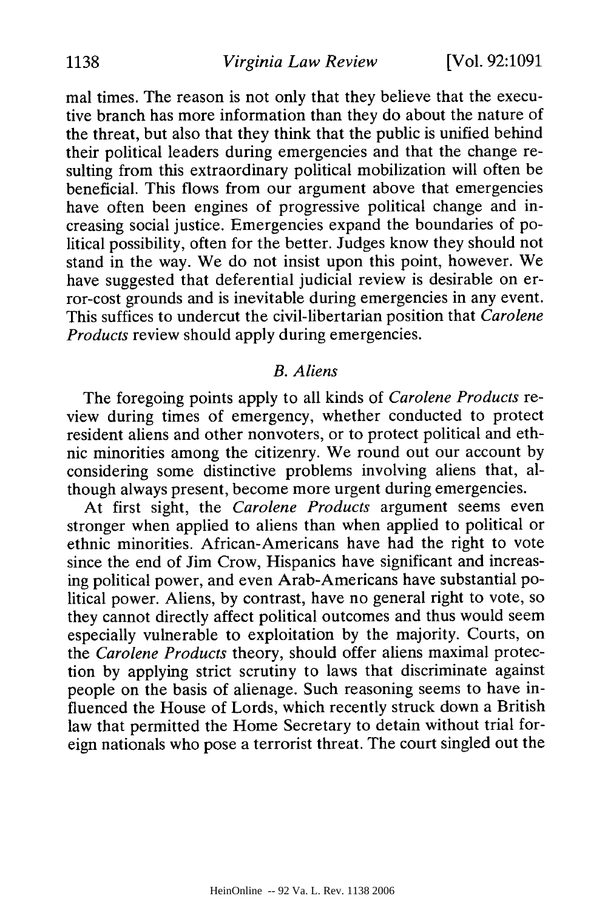mal times. The reason is not only that they believe that the executive branch has more information than they do about the nature of the threat, but also that they think that the public is unified behind their political leaders during emergencies and that the change resulting from this extraordinary political mobilization will often be beneficial. This flows from our argument above that emergencies have often been engines of progressive political change and increasing social justice. Emergencies expand the boundaries of political possibility, often for the better. Judges know they should not stand in the way. We do not insist upon this point, however. We have suggested that deferential judicial review is desirable on error-cost grounds and is inevitable during emergencies in any event. This suffices to undercut the civil-libertarian position that *Carolene Products* review should apply during emergencies.

#### *B. Aliens*

The foregoing points apply to all kinds of *Carolene Products* review during times of emergency, whether conducted to protect resident aliens and other nonvoters, or to protect political and ethnic minorities among the citizenry. We round out our account by considering some distinctive problems involving aliens that, although always present, become more urgent during emergencies.

At first sight, the *Carolene Products* argument seems even stronger when applied to aliens than when applied to political or ethnic minorities. African-Americans have had the right to vote since the end of Jim Crow, Hispanics have significant and increasing political power, and even Arab-Americans have substantial political power. Aliens, by contrast, have no general right to vote, so they cannot directly affect political outcomes and thus would seem especially vulnerable to exploitation by the majority. Courts, on the *Carolene Products* theory, should offer aliens maximal protection by applying strict scrutiny to laws that discriminate against people on the basis of alienage. Such reasoning seems to have influenced the House of Lords, which recently struck down a British law that permitted the Home Secretary to detain without trial foreign nationals who pose a terrorist threat. The court singled out the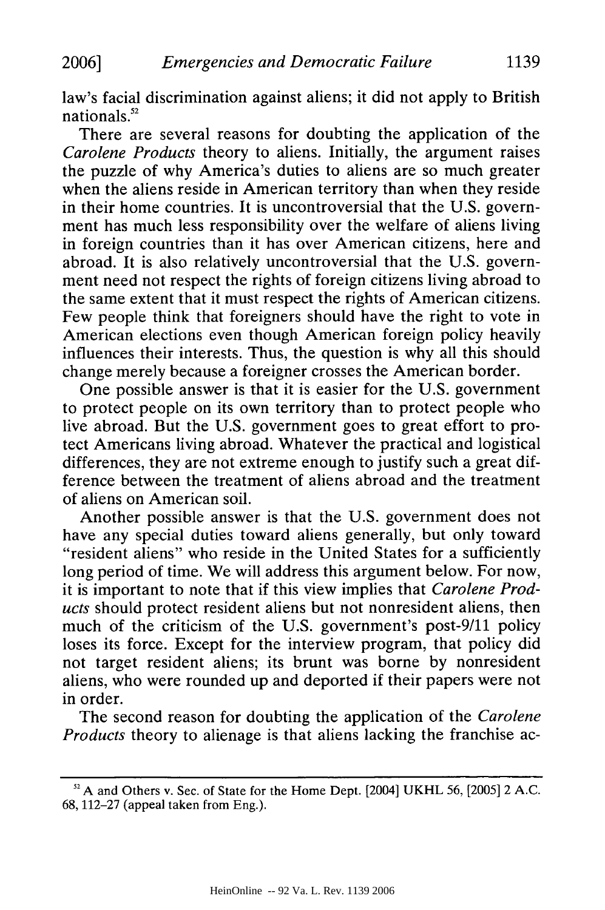law's facial discrimination against aliens; it did not apply to British nationals. $52$ 

There are several reasons for doubting the application of the *Carolene Products* theory to aliens. Initially, the argument raises the puzzle of why America's duties to aliens are so much greater when the aliens reside in American territory than when they reside in their home countries. It is uncontroversial that the U.S. government has much less responsibility over the welfare of aliens living in foreign countries than it has over American citizens, here and abroad. It is also relatively uncontroversial that the U.S. government need not respect the rights of foreign citizens living abroad to the same extent that it must respect the rights of American citizens. Few people think that foreigners should have the right to vote in American elections even though American foreign policy heavily influences their interests. Thus, the question is why all this should change merely because a foreigner crosses the American border.

One possible answer is that it is easier for the U.S. government to protect people on its own territory than to protect people who live abroad. But the U.S. government goes to great effort to protect Americans living abroad. Whatever the practical and logistical differences, they are not extreme enough to justify such a great difference between the treatment of aliens abroad and the treatment of aliens on American soil.

Another possible answer is that the U.S. government does not have any special duties toward aliens generally, but only toward "resident aliens" who reside in the United States for a sufficiently long period of time. We will address this argument below. For now, it is important to note that if this view implies that *Carolene Products* should protect resident aliens but not nonresident aliens, then much of the criticism of the U.S. government's post-9/11 policy loses its force. Except for the interview program, that policy did not target resident aliens; its brunt was borne by nonresident aliens, who were rounded up and deported if their papers were not in order.

The second reason for doubting the application of the *Carolene Products* theory to alienage is that aliens lacking the franchise ac-

 $52$  A and Others v. Sec. of State for the Home Dept. [2004] UKHL 56, [2005] 2 A.C. 68, 112-27 (appeal taken from Eng.).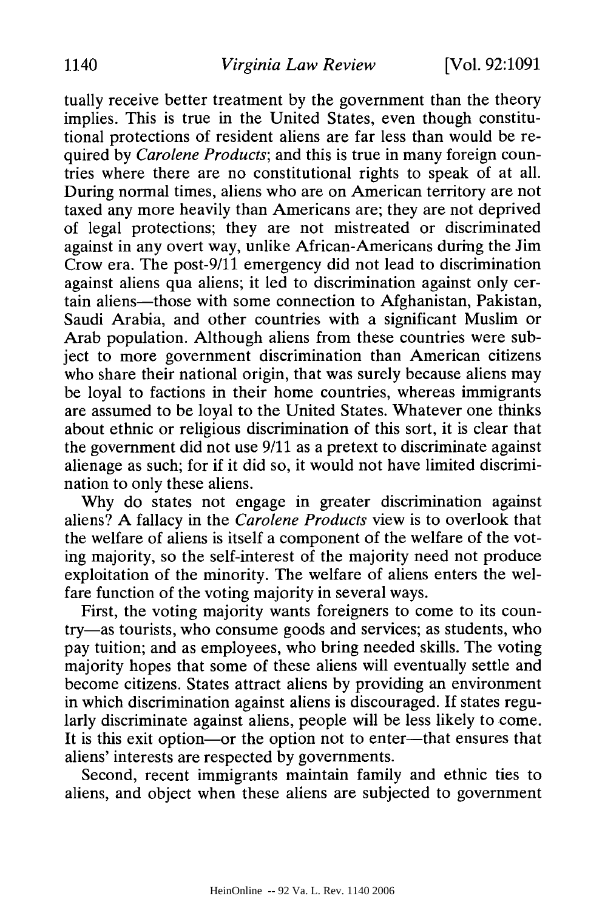tually receive better treatment by the government than the theory implies. This is true in the United States, even though constitutional protections of resident aliens are far less than would be required by *Carolene Products;* and this is true in many foreign countries where there are no constitutional rights to speak of at all. During normal times, aliens who are on American territory are not taxed any more heavily than Americans are; they are not deprived of legal protections; they are not mistreated or discriminated against in any overt way, unlike African-Americans during the Jim Crow era. The post-9/11 emergency did not lead to discrimination against aliens qua aliens; it led to discrimination against only certain aliens—those with some connection to Afghanistan, Pakistan, Saudi Arabia, and other countries with a significant Muslim or Arab population. Although aliens from these countries were subject to more government discrimination than American citizens who share their national origin, that was surely because aliens may be loyal to factions in their home countries, whereas immigrants are assumed to be loyal to the United States. Whatever one thinks about ethnic or religious discrimination of this sort, it is clear that the government did not use 9/11 as a pretext to discriminate against alienage as such; for if it did so, it would not have limited discrimination to only these aliens.

Why do states not engage in greater discrimination against aliens? A fallacy in the *Carolene Products* view is to overlook that the welfare of aliens is itself a component of the welfare of the voting majority, so the self-interest of the majority need not produce exploitation of the minority. The welfare of aliens enters the welfare function of the voting majority in several ways.

First, the voting majority wants foreigners to come to its country-as tourists, who consume goods and services; as students, who pay tuition; and as employees, who bring needed skills. The voting majority hopes that some of these aliens will eventually settle and become citizens. States attract aliens by providing an environment in which discrimination against aliens is discouraged. If states regularly discriminate against aliens, people will be less likely to come. It is this exit option-or the option not to enter-that ensures that aliens' interests are respected by governments.

Second, recent immigrants maintain family and ethnic ties to aliens, and object when these aliens are subjected to government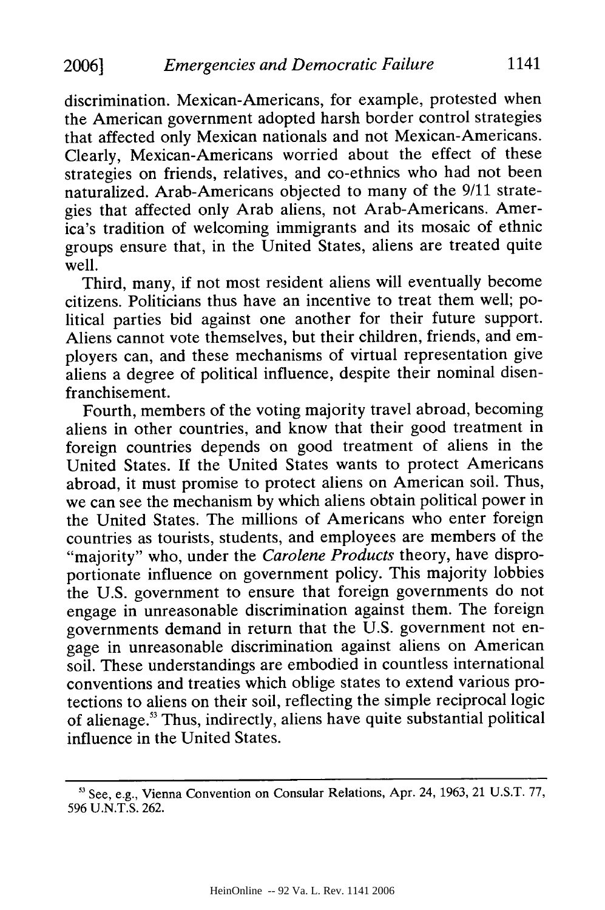discrimination. Mexican-Americans, for example, protested when the American government adopted harsh border control strategies that affected only Mexican nationals and not Mexican-Americans. Clearly, Mexican-Americans worried about the effect of these strategies on friends, relatives, and co-ethnics who had not been naturalized. Arab-Americans objected to many of the 9/11 strategies that affected only Arab aliens, not Arab-Americans. America's tradition of welcoming immigrants and its mosaic of ethnic groups ensure that, in the United States, aliens are treated quite well.

Third, many, if not most resident aliens will eventually become citizens. Politicians thus have an incentive to treat them well; political parties bid against one another for their future support. Aliens cannot vote themselves, but their children, friends, and employers can, and these mechanisms of virtual representation give aliens a degree of political influence, despite their nominal disenfranchisement.

Fourth, members of the voting majority travel abroad, becoming aliens in other countries, and know that their good treatment in foreign countries depends on good treatment of aliens in the United States. If the United States wants to protect Americans abroad, it must promise to protect aliens on American soil. Thus, we can see the mechanism by which aliens obtain political power in the United States. The millions of Americans who enter foreign countries as tourists, students, and employees are members of the "majority" who, under the *Carolene Products* theory, have disproportionate influence on government policy. This majority lobbies the U.S. government to ensure that foreign governments do not engage in unreasonable discrimination against them. The foreign governments demand in return that the  $\overline{U}$ .S. government not engage in unreasonable discrimination against aliens on American soil. These understandings are embodied in countless international conventions and treaties which oblige states to extend various protections to aliens on their soil, reflecting the simple reciprocal logic of alienage.<sup>53</sup> Thus, indirectly, aliens have quite substantial political influence in the United States.

**<sup>&</sup>quot;** See, e.g., Vienna Convention on Consular Relations, Apr. 24, 1963, 21 U.S.T. 77, 596 U.N.T.S. 262.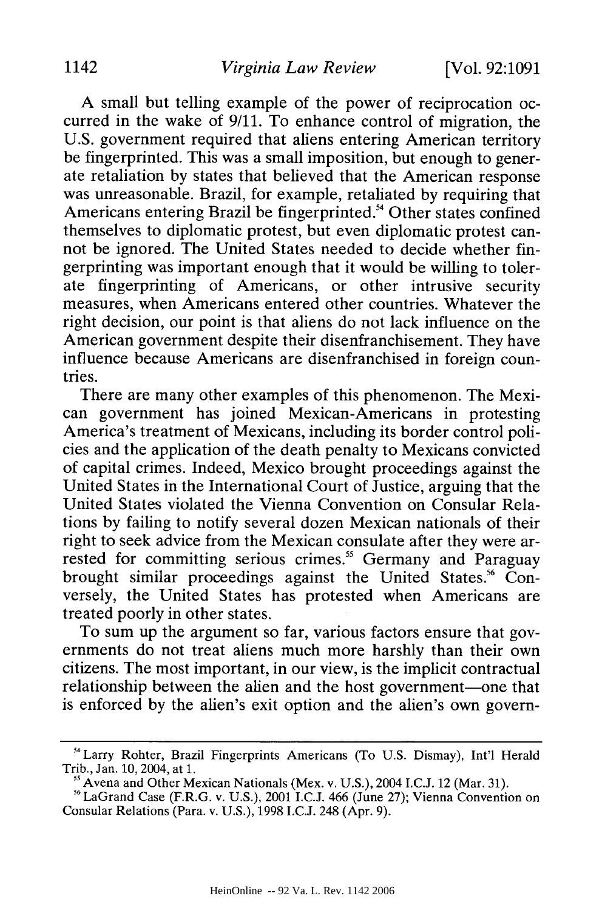A small but telling example of the power of reciprocation occurred in the wake of 9/11. To enhance control of migration, the U.S. government required that aliens entering American territory be fingerprinted. This was a small imposition, but enough to generate retaliation by states that believed that the American response was unreasonable. Brazil, for example, retaliated by requiring that Americans entering Brazil be fingerprinted.<sup>54</sup> Other states confined themselves to diplomatic protest, but even diplomatic protest cannot be ignored. The United States needed to decide whether fingerprinting was important enough that it would be willing to tolerate fingerprinting of Americans, or other intrusive security measures, when Americans entered other countries. Whatever the right decision, our point is that aliens do not lack influence on the American government despite their disenfranchisement. They have influence because Americans are disenfranchised in foreign countries.

There are many other examples of this phenomenon. The Mexican government has joined Mexican-Americans in protesting America's treatment of Mexicans, including its border control policies and the application of the death penalty to Mexicans convicted of capital crimes. Indeed, Mexico brought proceedings against the United States in the International Court of Justice, arguing that the United States violated the Vienna Convention on Consular Relations by failing to notify several dozen Mexican nationals of their right to seek advice from the Mexican consulate after they were arrested for committing serious crimes.<sup>55</sup> Germany and Paraguay brought similar proceedings against the United States.<sup>56</sup> Conversely, the United States has protested when Americans are treated poorly in other states.

To sum up the argument so far, various factors ensure that governments do not treat aliens much more harshly than their own citizens. The most important, in our view, is the implicit contractual relationship between the alien and the host government-one that is enforced by the alien's exit option and the alien's own govern-

<sup>1</sup> 4 Larry Rohter, Brazil Fingerprints Americans (To U.S. Dismay), Int'l Herald Trib., Jan. 10, 2004, at 1.

<sup>&</sup>lt;sup>55</sup> Avena and Other Mexican Nationals (Mex. v. U.S.), 2004 I.C.J. 12 (Mar. 31).

 $^{6}$  LaGrand Case (F.R.G. v. U.S.), 2001 I.C.J. 466 (June 27); Vienna Convention or Consular Relations (Para. v. U.S.), 1998 I.C.J. 248 (Apr. 9).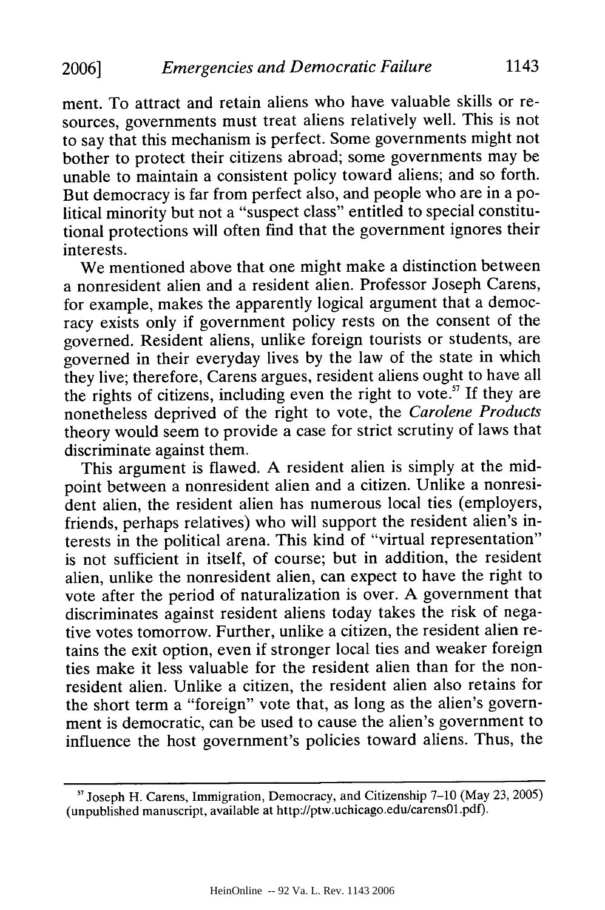ment. To attract and retain aliens who have valuable skills or resources, governments must treat aliens relatively well. This is not to say that this mechanism is perfect. Some governments might not bother to protect their citizens abroad; some governments may be unable to maintain a consistent policy toward aliens; and so forth. But democracy is far from perfect also, and people who are in a political minority but not a "suspect class" entitled to special constitutional protections will often find that the government ignores their interests.

We mentioned above that one might make a distinction between a nonresident alien and a resident alien. Professor Joseph Carens, for example, makes the apparently logical argument that a democracy exists only if government policy rests on the consent of the governed. Resident aliens, unlike foreign tourists or students, are governed in their everyday lives by the law of the state in which they live; therefore, Carens argues, resident aliens ought to have all the rights of citizens, including even the right to vote." If they are nonetheless deprived of the right to vote, the *Carolene Products* theory would seem to provide a case for strict scrutiny of laws that discriminate against them.

This argument is flawed. A resident alien is simply at the midpoint between a nonresident alien and a citizen. Unlike a nonresident alien, the resident alien has numerous local ties (employers, friends, perhaps relatives) who will support the resident alien's interests in the political arena. This kind of "virtual representation" is not sufficient in itself, of course; but in addition, the resident alien, unlike the nonresident alien, can expect to have the right to vote after the period of naturalization is over. A government that discriminates against resident aliens today takes the risk of negative votes tomorrow. Further, unlike a citizen, the resident alien retains the exit option, even if stronger local ties and weaker foreign ties make it less valuable for the resident alien than for the nonresident alien. Unlike a citizen, the resident alien also retains for the short term a "foreign" vote that, as long as the alien's government is democratic, can be used to cause the alien's government to influence the host government's policies toward aliens. Thus, the

**<sup>&</sup>quot;** Joseph H. Carens, Immigration, Democracy, and Citizenship 7-10 (May 23, 2005) (unpublished manuscript, available at http://ptw.uchicago.edu/carens0l.pdf).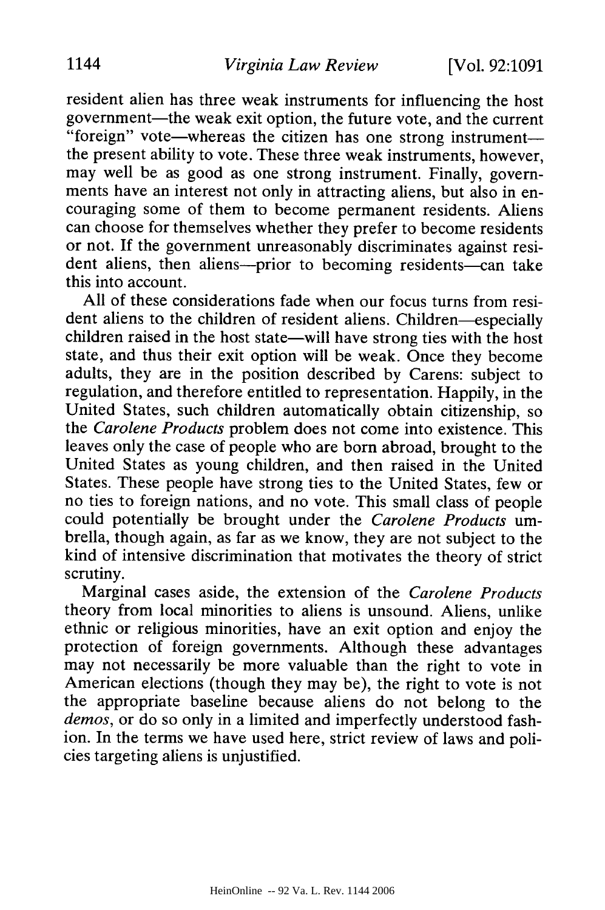resident alien has three weak instruments for influencing the host government—the weak exit option, the future vote, and the current "foreign" vote—whereas the citizen has one strong instrument the present ability to vote. These three weak instruments, however, may well be as good as one strong instrument. Finally, governments have an interest not only in attracting aliens, but also in encouraging some of them to become permanent residents. Aliens can choose for themselves whether they prefer to become residents or not. If the government unreasonably discriminates against resident aliens, then aliens---prior to becoming residents-can take this into account.

All of these considerations fade when our focus turns from resident aliens to the children of resident aliens. Children-especially children raised in the host state-will have strong ties with the host state, and thus their exit option will be weak. Once they become adults, they are in the position described by Carens: subject to regulation, and therefore entitled to representation. Happily, in the United States, such children automatically obtain citizenship, so the *Carolene Products* problem does not come into existence. This leaves only the case of people who are born abroad, brought to the United States as young children, and then raised in the United States. These people have strong ties to the United States, few or no ties to foreign nations, and no vote. This small class of people could potentially be brought under the *Carolene Products* umbrella, though again, as far as we know, they are not subject to the kind of intensive discrimination that motivates the theory of strict scrutiny.

Marginal cases aside, the extension of the *Carolene Products* theory from local minorities to aliens is unsound. Aliens, unlike ethnic or religious minorities, have an exit option and enjoy the protection of foreign governments. Although these advantages may not necessarily be more valuable than the right to vote in American elections (though they may be), the right to vote is not the appropriate baseline because aliens do not belong to the demos, or do so only in a limited and imperfectly understood fashion. In the terms we have used here, strict review of laws and policies targeting aliens is unjustified.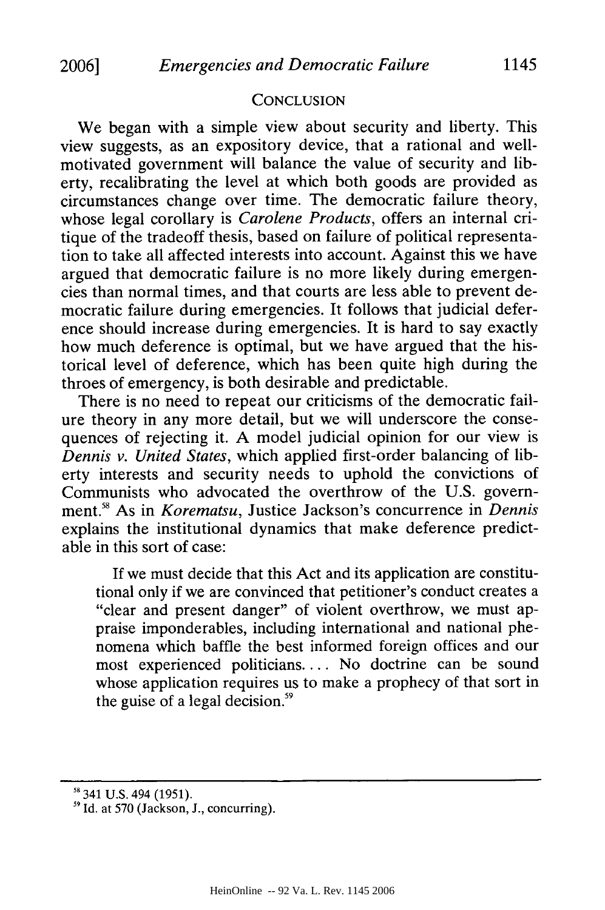#### **CONCLUSION**

We began with a simple view about security and liberty. This view suggests, as an expository device, that a rational and wellmotivated government will balance the value of security and liberty, recalibrating the level at which both goods are provided as circumstances change over time. The democratic failure theory, whose legal corollary is *Carolene Products,* offers an internal critique of the tradeoff thesis, based on failure of political representation to take all affected interests into account. Against this we have argued that democratic failure is no more likely during emergencies than normal times, and that courts are less able to prevent democratic failure during emergencies. It follows that judicial deference should increase during emergencies. It is hard to say exactly how much deference is optimal, but we have argued that the historical level of deference, which has been quite high during the throes of emergency, is both desirable and predictable.

There is no need to repeat our criticisms of the democratic failure theory in any more detail, but we will underscore the consequences of rejecting it. A model judicial opinion for our view is *Dennis v. United States,* which applied first-order balancing of liberty interests and security needs to uphold the convictions of Communists who advocated the overthrow of the U.S. government. 8 As in *Korematsu,* Justice Jackson's concurrence in *Dennis* explains the institutional dynamics that make deference predictable in this sort of case:

If we must decide that this Act and its application are constitutional only if we are convinced that petitioner's conduct creates a "clear and present danger" of violent overthrow, we must appraise imponderables, including international and national phenomena which baffle the best informed foreign offices and our most experienced politicians.... No doctrine can be sound whose application requires us to make a prophecy of that sort in the guise of a legal decision.<sup>59</sup>

<sup>341</sup> U.S. 494 (1951).

 $<sup>59</sup>$  Id. at 570 (Jackson, J., concurring).</sup>